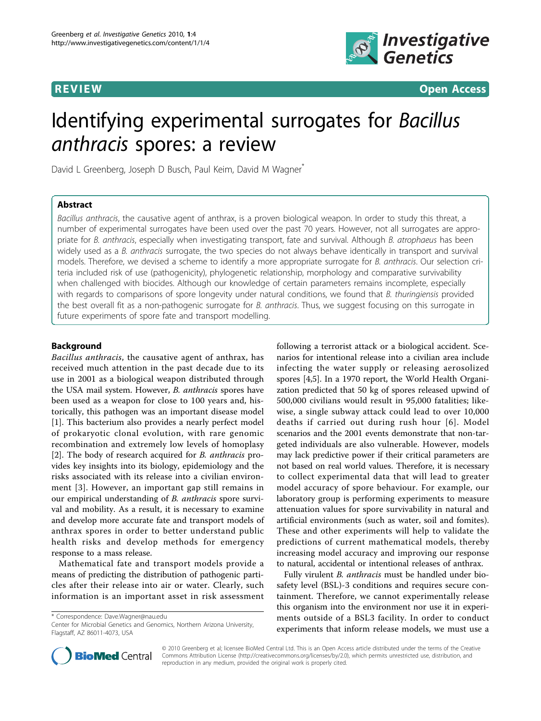

**REVIEW CONSIDERING CONSIDERING CONSIDERING CONSIDERING CONSIDERING CONSIDERING CONSIDERING CONSIDERING CONSIDERING CONSIDERING CONSIDERING CONSIDERING CONSIDERING CONSIDERING CONSIDERING CONSIDERING CONSIDERING CONSIDER** 

# Identifying experimental surrogates for Bacillus anthracis spores: a review

David L Greenberg, Joseph D Busch, Paul Keim, David M Wagner<sup>\*</sup>

# Abstract

Bacillus anthracis, the causative agent of anthrax, is a proven biological weapon. In order to study this threat, a number of experimental surrogates have been used over the past 70 years. However, not all surrogates are appropriate for B. anthracis, especially when investigating transport, fate and survival. Although B. atrophaeus has been widely used as a B. anthracis surrogate, the two species do not always behave identically in transport and survival models. Therefore, we devised a scheme to identify a more appropriate surrogate for B. anthracis. Our selection criteria included risk of use (pathogenicity), phylogenetic relationship, morphology and comparative survivability when challenged with biocides. Although our knowledge of certain parameters remains incomplete, especially with regards to comparisons of spore longevity under natural conditions, we found that B. thuringiensis provided the best overall fit as a non-pathogenic surrogate for B. anthracis. Thus, we suggest focusing on this surrogate in future experiments of spore fate and transport modelling.

# Background

Bacillus anthracis, the causative agent of anthrax, has received much attention in the past decade due to its use in 2001 as a biological weapon distributed through the USA mail system. However, B. anthracis spores have been used as a weapon for close to 100 years and, historically, this pathogen was an important disease model [[1\]](#page-6-0). This bacterium also provides a nearly perfect model of prokaryotic clonal evolution, with rare genomic recombination and extremely low levels of homoplasy [[2\]](#page-6-0). The body of research acquired for B. anthracis provides key insights into its biology, epidemiology and the risks associated with its release into a civilian environment [[3](#page-6-0)]. However, an important gap still remains in our empirical understanding of B. anthracis spore survival and mobility. As a result, it is necessary to examine and develop more accurate fate and transport models of anthrax spores in order to better understand public health risks and develop methods for emergency response to a mass release.

Mathematical fate and transport models provide a means of predicting the distribution of pathogenic particles after their release into air or water. Clearly, such information is an important asset in risk assessment

\* Correspondence: [Dave.Wagner@nau.edu](mailto:Dave.Wagner@nau.edu)

Center for Microbial Genetics and Genomics, Northern Arizona University, Flagstaff, AZ 86011-4073, USA

following a terrorist attack or a biological accident. Scenarios for intentional release into a civilian area include infecting the water supply or releasing aerosolized spores [\[4,5\]](#page-6-0). In a 1970 report, the World Health Organization predicted that 50 kg of spores released upwind of 500,000 civilians would result in 95,000 fatalities; likewise, a single subway attack could lead to over 10,000 deaths if carried out during rush hour [[6](#page-6-0)]. Model scenarios and the 2001 events demonstrate that non-targeted individuals are also vulnerable. However, models may lack predictive power if their critical parameters are not based on real world values. Therefore, it is necessary to collect experimental data that will lead to greater model accuracy of spore behaviour. For example, our laboratory group is performing experiments to measure attenuation values for spore survivability in natural and artificial environments (such as water, soil and fomites). These and other experiments will help to validate the predictions of current mathematical models, thereby increasing model accuracy and improving our response to natural, accidental or intentional releases of anthrax.

Fully virulent B. anthracis must be handled under biosafety level (BSL)-3 conditions and requires secure containment. Therefore, we cannot experimentally release this organism into the environment nor use it in experiments outside of a BSL3 facility. In order to conduct experiments that inform release models, we must use a



© 2010 Greenberg et al; licensee BioMed Central Ltd. This is an Open Access article distributed under the terms of the Creative Commons Attribution License [\(http://creativecommons.org/licenses/by/2.0](http://creativecommons.org/licenses/by/2.0)), which permits unrestricted use, distribution, and reproduction in any medium, provided the original work is properly cited.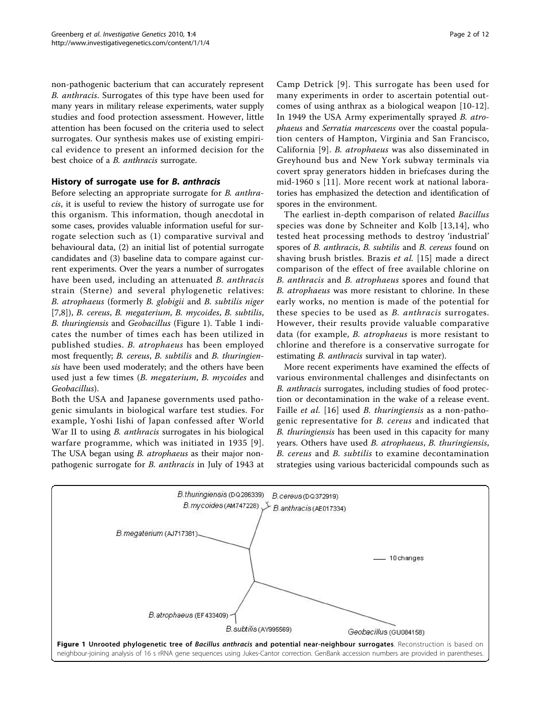<span id="page-1-0"></span>non-pathogenic bacterium that can accurately represent B. anthracis. Surrogates of this type have been used for many years in military release experiments, water supply studies and food protection assessment. However, little attention has been focused on the criteria used to select surrogates. Our synthesis makes use of existing empirical evidence to present an informed decision for the best choice of a B. anthracis surrogate.

# History of surrogate use for B. anthracis

Before selecting an appropriate surrogate for B. anthracis, it is useful to review the history of surrogate use for this organism. This information, though anecdotal in some cases, provides valuable information useful for surrogate selection such as (1) comparative survival and behavioural data, (2) an initial list of potential surrogate candidates and (3) baseline data to compare against current experiments. Over the years a number of surrogates have been used, including an attenuated B. anthracis strain (Sterne) and several phylogenetic relatives: B. atrophaeus (formerly B. globigii and B. subtilis niger [[7,8](#page-6-0)]), B. cereus, B. megaterium, B. mycoides, B. subtilis, B. thuringiensis and Geobacillus (Figure 1). Table [1](#page-2-0) indicates the number of times each has been utilized in published studies. B. atrophaeus has been employed most frequently; B. cereus, B. subtilis and B. thuringiensis have been used moderately; and the others have been used just a few times (B. megaterium, B. mycoides and Geobacillus).

Both the USA and Japanese governments used pathogenic simulants in biological warfare test studies. For example, Yoshi Iishi of Japan confessed after World War II to using *B. anthracis* surrogates in his biological warfare programme, which was initiated in 1935 [[9\]](#page-6-0). The USA began using *B. atrophaeus* as their major nonpathogenic surrogate for B. anthracis in July of 1943 at

Camp Detrick [[9](#page-6-0)]. This surrogate has been used for many experiments in order to ascertain potential outcomes of using anthrax as a biological weapon [\[10](#page-6-0)-[12](#page-6-0)]. In 1949 the USA Army experimentally sprayed B. atrophaeus and Serratia marcescens over the coastal population centers of Hampton, Virginia and San Francisco, California [[9](#page-6-0)]. B. atrophaeus was also disseminated in Greyhound bus and New York subway terminals via covert spray generators hidden in briefcases during the mid-1960 s [\[11\]](#page-6-0). More recent work at national laboratories has emphasized the detection and identification of spores in the environment.

The earliest in-depth comparison of related Bacillus species was done by Schneiter and Kolb [[13,14](#page-6-0)], who tested heat processing methods to destroy 'industrial' spores of B. anthracis, B. subtilis and B. cereus found on shaving brush bristles. Brazis et al. [[15\]](#page-6-0) made a direct comparison of the effect of free available chlorine on B. anthracis and B. atrophaeus spores and found that B. atrophaeus was more resistant to chlorine. In these early works, no mention is made of the potential for these species to be used as *B. anthracis* surrogates. However, their results provide valuable comparative data (for example, B. atrophaeus is more resistant to chlorine and therefore is a conservative surrogate for estimating *B. anthracis* survival in tap water).

More recent experiments have examined the effects of various environmental challenges and disinfectants on B. anthracis surrogates, including studies of food protection or decontamination in the wake of a release event. Faille *et al.* [[16](#page-6-0)] used *B. thuringiensis* as a non-pathogenic representative for B. cereus and indicated that B. thuringiensis has been used in this capacity for many years. Others have used B. atrophaeus, B. thuringiensis, B. cereus and B. subtilis to examine decontamination strategies using various bactericidal compounds such as

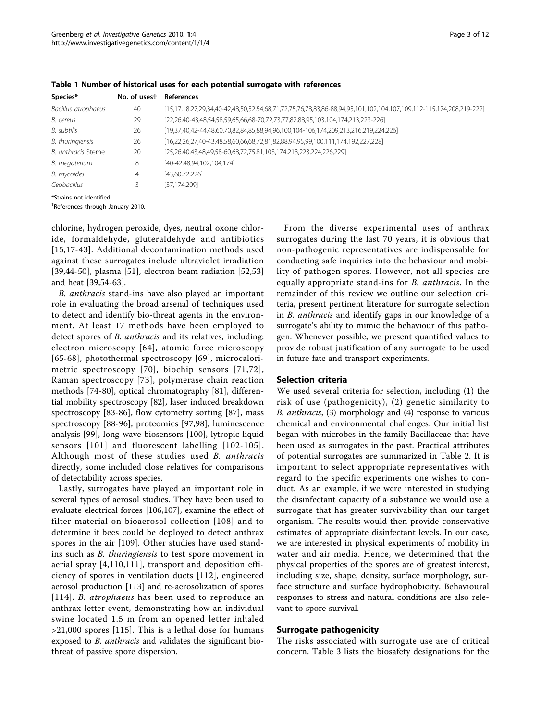| Species*            | No. of usest | <b>References</b>                                                                                                  |
|---------------------|--------------|--------------------------------------------------------------------------------------------------------------------|
| Bacillus atrophaeus | 40           | [15,17,18,27,29,34,40-42,48,50,52,54,68,71,72,75,76,78,83,86-88,94,95,101,102,104,107,109,112-115,174,208,219-222] |
| B. cereus           | 29           | $[22,26,40-43,48,54,58,59,65,66,68-70,72,73,77,82,88,95,103,104,174,213,223-226]$                                  |
| B. subtilis         | 26           | [19,37,40,42-44,48,60,70,82,84,85,88,94,96,100,104-106,174,209,213,216,219,224,226]                                |
| B. thuringiensis    | 26           | $[16,22,26,27,40-43,48,58,60,66,68,72,81,82,88,94,95,99,100,111,174,192,227,228]$                                  |
| B. anthracis Sterne | 20           | [25,26,40,43,48,49,58-60,68,72,75,81,103,174,213,223,224,226,229]                                                  |
| B. megaterium       | 8            | [40-42,48,94,102,104,174]                                                                                          |
| B. mycoides         | 4            | [43,60,72,226]                                                                                                     |
| Geobacillus         |              | [37,174,209]                                                                                                       |

<span id="page-2-0"></span>Table 1 Number of historical uses for each potential surrogate with references

\*Strains not identified.

† References through January 2010.

chlorine, hydrogen peroxide, dyes, neutral oxone chloride, formaldehyde, gluteraldehyde and antibiotics [[15](#page-6-0),[17](#page-7-0)-[43](#page-7-0)]. Additional decontamination methods used against these surrogates include ultraviolet irradiation [[39,44-50\]](#page-7-0), plasma [[51\]](#page-7-0), electron beam radiation [\[52,53](#page-7-0)] and heat [\[39,54](#page-7-0)-[63](#page-8-0)].

B. anthracis stand-ins have also played an important role in evaluating the broad arsenal of techniques used to detect and identify bio-threat agents in the environment. At least 17 methods have been employed to detect spores of B. anthracis and its relatives, including: electron microscopy [[64\]](#page-8-0), atomic force microscopy [[65](#page-8-0)-[68](#page-8-0)], photothermal spectroscopy [[69](#page-8-0)], microcalorimetric spectroscopy [[70\]](#page-8-0), biochip sensors [[71](#page-8-0),[72\]](#page-8-0), Raman spectroscopy [[73\]](#page-8-0), polymerase chain reaction methods [[74-80](#page-8-0)], optical chromatography [\[81](#page-8-0)], differential mobility spectroscopy [[82\]](#page-8-0), laser induced breakdown spectroscopy [[83](#page-8-0)-[86\]](#page-8-0), flow cytometry sorting [\[87](#page-8-0)], mass spectroscopy [\[88](#page-8-0)-[96\]](#page-8-0), proteomics [[97,98](#page-8-0)], luminescence analysis [[99\]](#page-8-0), long-wave biosensors [[100](#page-8-0)], lytropic liquid sensors [[101\]](#page-8-0) and fluorescent labelling [[102-105\]](#page-9-0). Although most of these studies used B. anthracis directly, some included close relatives for comparisons of detectability across species.

Lastly, surrogates have played an important role in several types of aerosol studies. They have been used to evaluate electrical forces [[106,107](#page-9-0)], examine the effect of filter material on bioaerosol collection [[108\]](#page-9-0) and to determine if bees could be deployed to detect anthrax spores in the air [\[109\]](#page-9-0). Other studies have used standins such as B. thuringiensis to test spore movement in aerial spray [[4](#page-6-0)[,110,111\]](#page-9-0), transport and deposition efficiency of spores in ventilation ducts [[112](#page-9-0)], engineered aerosol production [\[113](#page-9-0)] and re-aerosolization of spores [[114](#page-9-0)]. *B. atrophaeus* has been used to reproduce an anthrax letter event, demonstrating how an individual swine located 1.5 m from an opened letter inhaled >21,000 spores [[115](#page-9-0)]. This is a lethal dose for humans exposed to *B. anthracis* and validates the significant biothreat of passive spore dispersion.

From the diverse experimental uses of anthrax surrogates during the last 70 years, it is obvious that non-pathogenic representatives are indispensable for conducting safe inquiries into the behaviour and mobility of pathogen spores. However, not all species are equally appropriate stand-ins for B. anthracis. In the remainder of this review we outline our selection criteria, present pertinent literature for surrogate selection in B. anthracis and identify gaps in our knowledge of a surrogate's ability to mimic the behaviour of this pathogen. Whenever possible, we present quantified values to provide robust justification of any surrogate to be used in future fate and transport experiments.

#### Selection criteria

We used several criteria for selection, including (1) the risk of use (pathogenicity), (2) genetic similarity to B. anthracis, (3) morphology and (4) response to various chemical and environmental challenges. Our initial list began with microbes in the family Bacillaceae that have been used as surrogates in the past. Practical attributes of potential surrogates are summarized in Table [2](#page-3-0). It is important to select appropriate representatives with regard to the specific experiments one wishes to conduct. As an example, if we were interested in studying the disinfectant capacity of a substance we would use a surrogate that has greater survivability than our target organism. The results would then provide conservative estimates of appropriate disinfectant levels. In our case, we are interested in physical experiments of mobility in water and air media. Hence, we determined that the physical properties of the spores are of greatest interest, including size, shape, density, surface morphology, surface structure and surface hydrophobicity. Behavioural responses to stress and natural conditions are also relevant to spore survival.

## Surrogate pathogenicity

The risks associated with surrogate use are of critical concern. Table [3](#page-3-0) lists the biosafety designations for the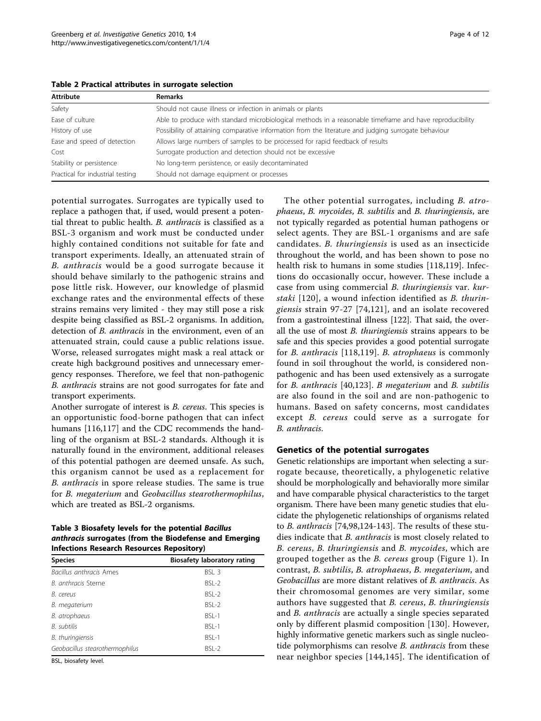<span id="page-3-0"></span>

|  |  | Table 2 Practical attributes in surrogate selection |  |  |  |
|--|--|-----------------------------------------------------|--|--|--|
|--|--|-----------------------------------------------------|--|--|--|

| Attribute                        | <b>Remarks</b>                                                                                           |
|----------------------------------|----------------------------------------------------------------------------------------------------------|
| Safety                           | Should not cause illness or infection in animals or plants                                               |
| Ease of culture                  | Able to produce with standard microbiological methods in a reasonable timeframe and have reproducibility |
| History of use                   | Possibility of attaining comparative information from the literature and judging surrogate behaviour     |
| Ease and speed of detection      | Allows large numbers of samples to be processed for rapid feedback of results                            |
| Cost                             | Surrogate production and detection should not be excessive                                               |
| Stability or persistence         | No long-term persistence, or easily decontaminated                                                       |
| Practical for industrial testing | Should not damage equipment or processes                                                                 |

potential surrogates. Surrogates are typically used to replace a pathogen that, if used, would present a potential threat to public health. B. anthracis is classified as a BSL-3 organism and work must be conducted under highly contained conditions not suitable for fate and transport experiments. Ideally, an attenuated strain of B. anthracis would be a good surrogate because it should behave similarly to the pathogenic strains and pose little risk. However, our knowledge of plasmid exchange rates and the environmental effects of these strains remains very limited - they may still pose a risk despite being classified as BSL-2 organisms. In addition, detection of B. anthracis in the environment, even of an attenuated strain, could cause a public relations issue. Worse, released surrogates might mask a real attack or create high background positives and unnecessary emergency responses. Therefore, we feel that non-pathogenic B. anthracis strains are not good surrogates for fate and transport experiments.

Another surrogate of interest is B. cereus. This species is an opportunistic food-borne pathogen that can infect humans [[116,117\]](#page-9-0) and the CDC recommends the handling of the organism at BSL-2 standards. Although it is naturally found in the environment, additional releases of this potential pathogen are deemed unsafe. As such, this organism cannot be used as a replacement for B. anthracis in spore release studies. The same is true for B. megaterium and Geobacillus stearothermophilus, which are treated as BSL-2 organisms.

Table 3 Biosafety levels for the potential Bacillus anthracis surrogates (from the Biodefense and Emerging Infections Research Resources Repository)

| <b>Species</b>                 | <b>Biosafety laboratory rating</b> |  |  |  |
|--------------------------------|------------------------------------|--|--|--|
| <i>Bacillus anthracis</i> Ames | BSI <sub>3</sub>                   |  |  |  |
| B. anthracis Sterne            | $BSI - 2$                          |  |  |  |
| B. cereus                      | $BSI - 2$                          |  |  |  |
| B. megaterium                  | $BSI - 2$                          |  |  |  |
| B. atrophaeus                  | $BSI - 1$                          |  |  |  |
| B. subtilis                    | $BSI - 1$                          |  |  |  |
| B. thuringiensis               | BSL-1                              |  |  |  |
| Geobacillus stearothermophilus | BSL-2                              |  |  |  |

BSL, biosafety level.

The other potential surrogates, including B. atrophaeus, B. mycoides, B. subtilis and B. thuringiensis, are not typically regarded as potential human pathogens or select agents. They are BSL-1 organisms and are safe candidates. B. thuringiensis is used as an insecticide throughout the world, and has been shown to pose no health risk to humans in some studies [[118,119](#page-9-0)]. Infections do occasionally occur, however. These include a case from using commercial B. thuringiensis var. kurstaki [[120\]](#page-9-0), a wound infection identified as B. thuringiensis strain 97-27 [[74,](#page-8-0)[121](#page-9-0)], and an isolate recovered from a gastrointestinal illness [\[122\]](#page-9-0). That said, the overall the use of most B. thuringiensis strains appears to be safe and this species provides a good potential surrogate for B. anthracis [[118](#page-9-0),[119\]](#page-9-0). B. atrophaeus is commonly found in soil throughout the world, is considered nonpathogenic and has been used extensively as a surrogate for B. anthracis [\[40](#page-7-0),[123\]](#page-9-0). B megaterium and B. subtilis are also found in the soil and are non-pathogenic to humans. Based on safety concerns, most candidates except B. cereus could serve as a surrogate for B. anthracis.

# Genetics of the potential surrogates

Genetic relationships are important when selecting a surrogate because, theoretically, a phylogenetic relative should be morphologically and behaviorally more similar and have comparable physical characteristics to the target organism. There have been many genetic studies that elucidate the phylogenetic relationships of organisms related to B. anthracis [[74,98](#page-8-0)[,124](#page-9-0)-[143\]](#page-10-0). The results of these studies indicate that B. anthracis is most closely related to B. cereus, B. thuringiensis and B. mycoides, which are grouped together as the B. cereus group (Figure [1\)](#page-1-0). In contrast, B. subtilis, B. atrophaeus, B. megaterium, and Geobacillus are more distant relatives of B. anthracis. As their chromosomal genomes are very similar, some authors have suggested that B. cereus, B. thuringiensis and *B. anthracis* are actually a single species separated only by different plasmid composition [\[130\]](#page-9-0). However, highly informative genetic markers such as single nucleotide polymorphisms can resolve B. anthracis from these near neighbor species [[144,145\]](#page-10-0). The identification of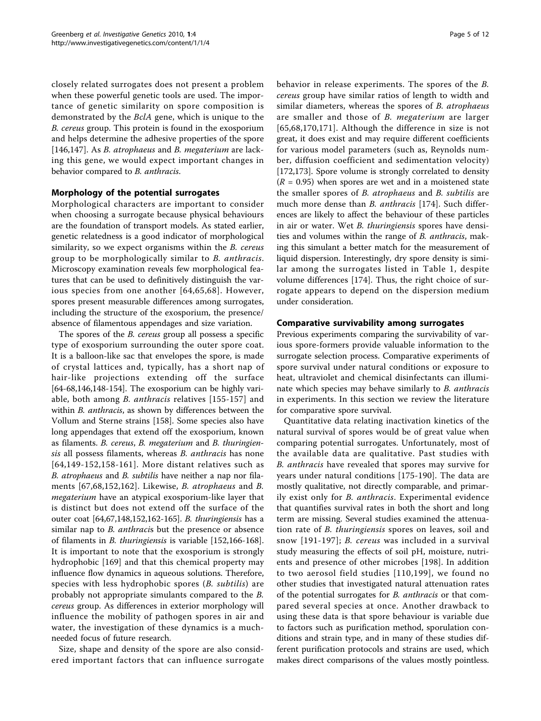closely related surrogates does not present a problem when these powerful genetic tools are used. The importance of genetic similarity on spore composition is demonstrated by the BclA gene, which is unique to the B. cereus group. This protein is found in the exosporium and helps determine the adhesive properties of the spore [[146,147\]](#page-10-0). As *B. atrophaeus* and *B. megaterium* are lacking this gene, we would expect important changes in behavior compared to *B. anthracis*.

# Morphology of the potential surrogates

Morphological characters are important to consider when choosing a surrogate because physical behaviours are the foundation of transport models. As stated earlier, genetic relatedness is a good indicator of morphological similarity, so we expect organisms within the *B. cereus* group to be morphologically similar to B. anthracis. Microscopy examination reveals few morphological features that can be used to definitively distinguish the various species from one another [[64](#page-8-0),[65,68\]](#page-8-0). However, spores present measurable differences among surrogates, including the structure of the exosporium, the presence/ absence of filamentous appendages and size variation.

The spores of the *B. cereus* group all possess a specific type of exosporium surrounding the outer spore coat. It is a balloon-like sac that envelopes the spore, is made of crystal lattices and, typically, has a short nap of hair-like projections extending off the surface [[64-68,](#page-8-0)[146,148-154\]](#page-10-0). The exosporium can be highly variable, both among B. anthracis relatives [[155](#page-10-0)-[157](#page-10-0)] and within *B. anthracis*, as shown by differences between the Vollum and Sterne strains [[158](#page-10-0)]. Some species also have long appendages that extend off the exosporium, known as filaments. B. cereus, B. megaterium and B. thuringiensis all possess filaments, whereas *B. anthracis* has none [[64,](#page-8-0)[149](#page-10-0)-[152,158](#page-10-0)-[161\]](#page-10-0). More distant relatives such as B. atrophaeus and B. subtilis have neither a nap nor filaments [[67,68,](#page-8-0)[152](#page-10-0),[162](#page-10-0)]. Likewise, B. atrophaeus and B. megaterium have an atypical exosporium-like layer that is distinct but does not extend off the surface of the outer coat [[64,67,](#page-8-0)[148,152,162-165](#page-10-0)]. B. thuringiensis has a similar nap to *B. anthracis* but the presence or absence of filaments in B. thuringiensis is variable [[152,166-168](#page-10-0)]. It is important to note that the exosporium is strongly hydrophobic [[169\]](#page-10-0) and that this chemical property may influence flow dynamics in aqueous solutions. Therefore, species with less hydrophobic spores (B. subtilis) are probably not appropriate simulants compared to the B. cereus group. As differences in exterior morphology will influence the mobility of pathogen spores in air and water, the investigation of these dynamics is a muchneeded focus of future research.

Size, shape and density of the spore are also considered important factors that can influence surrogate behavior in release experiments. The spores of the B. cereus group have similar ratios of length to width and similar diameters, whereas the spores of B. atrophaeus are smaller and those of B. megaterium are larger [[65](#page-8-0),[68](#page-8-0)[,170,171\]](#page-10-0). Although the difference in size is not great, it does exist and may require different coefficients for various model parameters (such as, Reynolds number, diffusion coefficient and sedimentation velocity) [[172,173](#page-10-0)]. Spore volume is strongly correlated to density  $(R = 0.95)$  when spores are wet and in a moistened state the smaller spores of B. atrophaeus and B. subtilis are much more dense than *B. anthracis* [\[174\]](#page-10-0). Such differences are likely to affect the behaviour of these particles in air or water. Wet *B. thuringiensis* spores have densities and volumes within the range of B. anthracis, making this simulant a better match for the measurement of liquid dispersion. Interestingly, dry spore density is similar among the surrogates listed in Table [1](#page-2-0), despite volume differences [[174\]](#page-10-0). Thus, the right choice of surrogate appears to depend on the dispersion medium under consideration.

#### Comparative survivability among surrogates

Previous experiments comparing the survivability of various spore-formers provide valuable information to the surrogate selection process. Comparative experiments of spore survival under natural conditions or exposure to heat, ultraviolet and chemical disinfectants can illuminate which species may behave similarly to B. anthracis in experiments. In this section we review the literature for comparative spore survival.

Quantitative data relating inactivation kinetics of the natural survival of spores would be of great value when comparing potential surrogates. Unfortunately, most of the available data are qualitative. Past studies with B. anthracis have revealed that spores may survive for years under natural conditions [[175-190\]](#page-10-0). The data are mostly qualitative, not directly comparable, and primarily exist only for B. anthracis. Experimental evidence that quantifies survival rates in both the short and long term are missing. Several studies examined the attenuation rate of B. thuringiensis spores on leaves, soil and snow [\[191](#page-10-0)-[197\]](#page-11-0); B. cereus was included in a survival study measuring the effects of soil pH, moisture, nutrients and presence of other microbes [\[198](#page-11-0)]. In addition to two aerosol field studies [[110,](#page-9-0)[199\]](#page-11-0), we found no other studies that investigated natural attenuation rates of the potential surrogates for B. anthracis or that compared several species at once. Another drawback to using these data is that spore behaviour is variable due to factors such as purification method, sporulation conditions and strain type, and in many of these studies different purification protocols and strains are used, which makes direct comparisons of the values mostly pointless.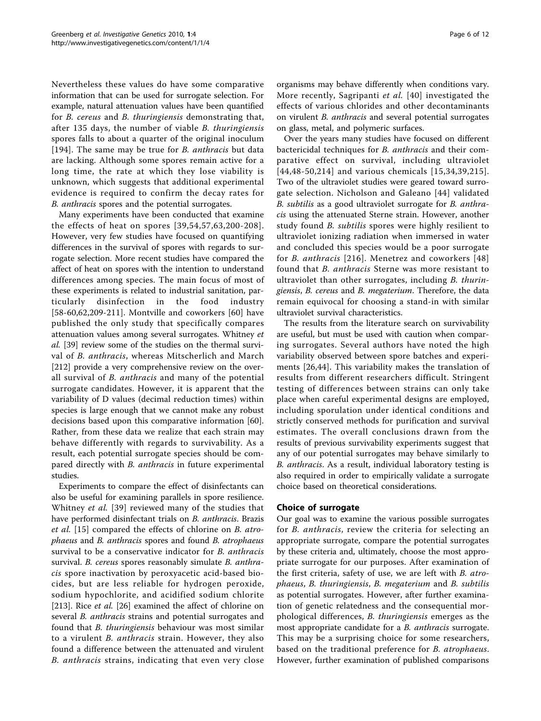Nevertheless these values do have some comparative information that can be used for surrogate selection. For example, natural attenuation values have been quantified for B. cereus and B. thuringiensis demonstrating that, after 135 days, the number of viable B. thuringiensis spores falls to about a quarter of the original inoculum [[194](#page-10-0)]. The same may be true for *B. anthracis* but data are lacking. Although some spores remain active for a long time, the rate at which they lose viability is unknown, which suggests that additional experimental evidence is required to confirm the decay rates for B. anthracis spores and the potential surrogates.

Many experiments have been conducted that examine the effects of heat on spores [[39,54](#page-7-0),[57,](#page-7-0)[63,](#page-8-0)[200-208\]](#page-11-0). However, very few studies have focused on quantifying differences in the survival of spores with regards to surrogate selection. More recent studies have compared the affect of heat on spores with the intention to understand differences among species. The main focus of most of these experiments is related to industrial sanitation, particularly disinfection in the food industry [[58](#page-7-0)-[60,](#page-7-0)[62](#page-8-0),[209-211\]](#page-11-0). Montville and coworkers [[60\]](#page-7-0) have published the only study that specifically compares attenuation values among several surrogates. Whitney et al. [\[39\]](#page-7-0) review some of the studies on the thermal survival of B. anthracis, whereas Mitscherlich and March [[212\]](#page-11-0) provide a very comprehensive review on the overall survival of *B. anthracis* and many of the potential surrogate candidates. However, it is apparent that the variability of D values (decimal reduction times) within species is large enough that we cannot make any robust decisions based upon this comparative information [\[60](#page-7-0)]. Rather, from these data we realize that each strain may behave differently with regards to survivability. As a result, each potential surrogate species should be compared directly with *B. anthracis* in future experimental studies.

Experiments to compare the effect of disinfectants can also be useful for examining parallels in spore resilience. Whitney et al. [[39](#page-7-0)] reviewed many of the studies that have performed disinfectant trials on *B. anthracis*. Brazis et al. [[15](#page-6-0)] compared the effects of chlorine on B. atrophaeus and B. anthracis spores and found B. atrophaeus survival to be a conservative indicator for *B. anthracis* survival. B. cereus spores reasonably simulate B. anthracis spore inactivation by peroxyacetic acid-based biocides, but are less reliable for hydrogen peroxide, sodium hypochlorite, and acidified sodium chlorite [[213\]](#page-11-0). Rice et al. [\[26\]](#page-7-0) examined the affect of chlorine on several *B. anthracis* strains and potential surrogates and found that B. thuringiensis behaviour was most similar to a virulent B. anthracis strain. However, they also found a difference between the attenuated and virulent B. anthracis strains, indicating that even very close organisms may behave differently when conditions vary. More recently, Sagripanti et al. [\[40\]](#page-7-0) investigated the effects of various chlorides and other decontaminants on virulent B. anthracis and several potential surrogates on glass, metal, and polymeric surfaces.

Over the years many studies have focused on different bactericidal techniques for B. anthracis and their comparative effect on survival, including ultraviolet [[44,48-50](#page-7-0),[214\]](#page-11-0) and various chemicals [[15](#page-6-0),[34,39,](#page-7-0)[215\]](#page-11-0). Two of the ultraviolet studies were geared toward surrogate selection. Nicholson and Galeano [[44](#page-7-0)] validated B. subtilis as a good ultraviolet surrogate for B. anthracis using the attenuated Sterne strain. However, another study found B. subtilis spores were highly resilient to ultraviolet ionizing radiation when immersed in water and concluded this species would be a poor surrogate for B. anthracis [[216\]](#page-11-0). Menetrez and coworkers [[48](#page-7-0)] found that B. anthracis Sterne was more resistant to ultraviolet than other surrogates, including B. thuringiensis, B. cereus and B. megaterium. Therefore, the data remain equivocal for choosing a stand-in with similar ultraviolet survival characteristics.

The results from the literature search on survivability are useful, but must be used with caution when comparing surrogates. Several authors have noted the high variability observed between spore batches and experiments [[26,44](#page-7-0)]. This variability makes the translation of results from different researchers difficult. Stringent testing of differences between strains can only take place when careful experimental designs are employed, including sporulation under identical conditions and strictly conserved methods for purification and survival estimates. The overall conclusions drawn from the results of previous survivability experiments suggest that any of our potential surrogates may behave similarly to B. anthracis. As a result, individual laboratory testing is also required in order to empirically validate a surrogate choice based on theoretical considerations.

# Choice of surrogate

Our goal was to examine the various possible surrogates for B. anthracis, review the criteria for selecting an appropriate surrogate, compare the potential surrogates by these criteria and, ultimately, choose the most appropriate surrogate for our purposes. After examination of the first criteria, safety of use, we are left with B. atrophaeus, B. thuringiensis, B. megaterium and B. subtilis as potential surrogates. However, after further examination of genetic relatedness and the consequential morphological differences, B. thuringiensis emerges as the most appropriate candidate for a B. anthracis surrogate. This may be a surprising choice for some researchers, based on the traditional preference for *B. atrophaeus*. However, further examination of published comparisons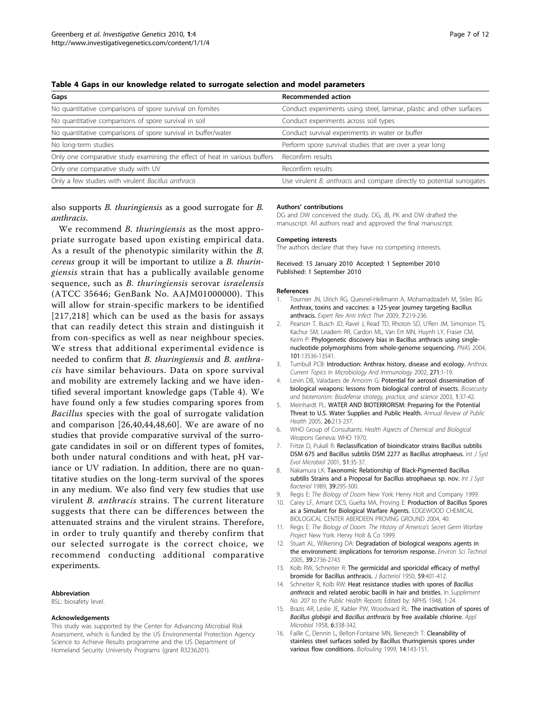| Gaps                                                                       | <b>Recommended action</b>                                              |
|----------------------------------------------------------------------------|------------------------------------------------------------------------|
| No quantitative comparisons of spore survival on fomites                   | Conduct experiments using steel, laminar, plastic and other surfaces   |
| No quantitative comparisons of spore survival in soil                      | Conduct experiments across soil types                                  |
| No quantitative comparisons of spore survival in buffer/water              | Conduct survival experiments in water or buffer                        |
| No long-term studies                                                       | Perform spore survival studies that are over a year long               |
| Only one comparative study examining the effect of heat in various buffers | Reconfirm results                                                      |
| Only one comparative study with UV                                         | Reconfirm results                                                      |
| Only a few studies with virulent Bacillus anthracis                        | Use virulent B. anthracis and compare directly to potential surrogates |

<span id="page-6-0"></span>Table 4 Gaps in our knowledge related to surrogate selection and model parameters

also supports B. thuringiensis as a good surrogate for B. anthracis.

We recommend *B. thuringiensis* as the most appropriate surrogate based upon existing empirical data. As a result of the phenotypic similarity within the B. cereus group it will be important to utilize a B. thuringiensis strain that has a publically available genome sequence, such as B. thuringiensis serovar israelensis (ATCC 35646; GenBank No. AAJM01000000). This will allow for strain-specific markers to be identified [[217](#page-11-0),[218](#page-11-0)] which can be used as the basis for assays that can readily detect this strain and distinguish it from con-specifics as well as near neighbour species. We stress that additional experimental evidence is needed to confirm that B. thuringiensis and B. anthracis have similar behaviours. Data on spore survival and mobility are extremely lacking and we have identified several important knowledge gaps (Table 4). We have found only a few studies comparing spores from Bacillus species with the goal of surrogate validation and comparison [\[26,40](#page-7-0),[44](#page-7-0),[48,60\]](#page-7-0). We are aware of no studies that provide comparative survival of the surrogate candidates in soil or on different types of fomites, both under natural conditions and with heat, pH variance or UV radiation. In addition, there are no quantitative studies on the long-term survival of the spores in any medium. We also find very few studies that use virulent B. anthracis strains. The current literature suggests that there can be differences between the attenuated strains and the virulent strains. Therefore, in order to truly quantify and thereby confirm that our selected surrogate is the correct choice, we recommend conducting additional comparative experiments.

#### Abbreviation

BSL: biosafety level.

#### Acknowledgements

This study was supported by the Center for Advancing Microbial Risk Assessment, which is funded by the US Environmental Protection Agency Science to Achieve Results programme and the US Department of Homeland Security University Programs (grant R3236201).

#### Authors' contributions

DG and DW conceived the study. DG, JB, PK and DW drafted the manuscript. All authors read and approved the final manuscript.

#### Competing interests

The authors declare that they have no competing interests.

Received: 15 January 2010 Accepted: 1 September 2010 Published: 1 September 2010

#### References

- 1. Tournier JN, Ulrich RG, Quesnel-Hellmann A, Mohamadzadeh M, Stiles BG: [Anthrax, toxins and vaccines: a 125-year journey targeting Bacillus](http://www.ncbi.nlm.nih.gov/pubmed/19254170?dopt=Abstract) [anthracis.](http://www.ncbi.nlm.nih.gov/pubmed/19254170?dopt=Abstract) Expert Rev Anti Infect Ther 2009, 7:219-236.
- 2. Pearson T, Busch JD, Ravel J, Read TD, Rhoton SD, U'Ren JM, Simonson TS, Kachur SM, Leadem RR, Cardon ML, Van Ert MN, Huynh LY, Fraser CM, Keim P: [Phylogenetic discovery bias in Bacillus anthracis using single](http://www.ncbi.nlm.nih.gov/pubmed/15347815?dopt=Abstract)[nucleotide polymorphisms from whole-genome sequencing.](http://www.ncbi.nlm.nih.gov/pubmed/15347815?dopt=Abstract) PNAS 2004, 101:13536-13541.
- 3. Turnbull PCB: Introduction: Anthrax history, disease and ecology. Anthrax. Current Topics In Microbiology And Immunology 2002, 271:1-19.
- 4. Levin DB, Valadares de Amorim G: [Potential for aerosol dissemination of](http://www.ncbi.nlm.nih.gov/pubmed/15040213?dopt=Abstract) [biological weapons: lessons from biological control of insects.](http://www.ncbi.nlm.nih.gov/pubmed/15040213?dopt=Abstract) Biosecurity and bioterrorism: Biodefense strategy, practice, and science 2003, 1:37-42.
- 5. Meinhardt PL: [WATER AND BIOTERRORISM: Preparing for the Potential](http://www.ncbi.nlm.nih.gov/pubmed/15760287?dopt=Abstract) [Threat to U.S. Water Supplies and Public Health.](http://www.ncbi.nlm.nih.gov/pubmed/15760287?dopt=Abstract) Annual Review of Public Health 2005, 26:213-237.
- 6. WHO Group of Consultants: Health Aspects of Chemical and Biological Weapons Geneva: WHO 1970.
- 7. Fritze D, Pukall R: [Reclassification of bioindicator strains Bacillus subtilis](http://www.ncbi.nlm.nih.gov/pubmed/11211269?dopt=Abstract) [DSM 675 and Bacillus subtilis DSM 2277 as Bacillus atrophaeus.](http://www.ncbi.nlm.nih.gov/pubmed/11211269?dopt=Abstract) Int J Syst Evol Microbiol 2001, 51:35-37.
- 8. Nakamura LK: Taxonomic Relationship of Black-Pigmented Bacillus subtilis Strains and a Proposal for Bacillus atrophaeus sp. nov. Int J Syst Bacteriol 1989, 39:295-300.
- Regis E: The Biology of Doom New York: Henry Holt and Company 1999.
- 10. Carey LF, Amant DCS, Guelta MA, Proving E: Production of Bacillus Spores as a Simulant for Biological Warfare Agents. EDGEWOOD CHEMICAL BIOLOGICAL CENTER ABERDEEN PROVING GROUND 2004, 40.
- 11. Regis E: The Biology of Doom. The History of America's Secret Germ Warfare Project New York: Henry Holt & Co 1999.
- 12. Stuart AL, Wilkening DA: [Degradation of biological weapons agents in](http://www.ncbi.nlm.nih.gov/pubmed/15884371?dopt=Abstract) [the environment: implications for terrorism response.](http://www.ncbi.nlm.nih.gov/pubmed/15884371?dopt=Abstract) Environ Sci Technol 2005, 39:2736-2743.
- 13. Kolb RW, Schneiter R: [The germicidal and sporicidal efficacy of methyl](http://www.ncbi.nlm.nih.gov/pubmed/15436410?dopt=Abstract) [bromide for Bacillus anthracis.](http://www.ncbi.nlm.nih.gov/pubmed/15436410?dopt=Abstract) J Bacteriol 1950, 59:401-412.
- 14. Schneiter R, Kolb RW: Heat resistance studies with spores of Bacillus anthracis and related aerobic bacilli in hair and bristles. In Supplement No. 207 to the Public Health Reports Edited by: NPHS 1948, 1-24.
- 15. Brazis AR, Leslie JE, Kabler PW, Woodward RL: [The inactivation of spores of](http://www.ncbi.nlm.nih.gov/pubmed/13571976?dopt=Abstract) Bacillus globigii and Bacillus anthracis [by free available chlorine.](http://www.ncbi.nlm.nih.gov/pubmed/13571976?dopt=Abstract) Appl Microbiol 1958, 6:338-342.
- 16. Faille C, Dennin L, Bellon-Fontaine MN, Benezech T: Cleanability of stainless steel surfaces soiled by Bacillus thuringiensis spores under various flow conditions. Biofouling 1999, 14:143-151.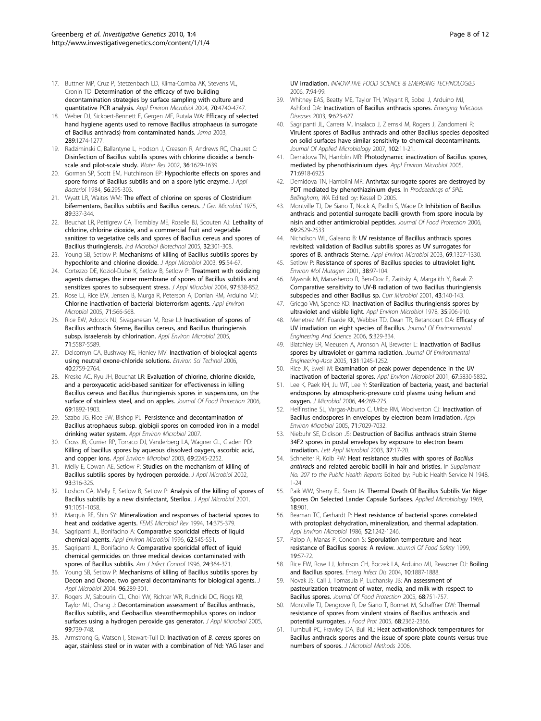- <span id="page-7-0"></span>17. Buttner MP, Cruz P, Stetzenbach LD, Klima-Comba AK, Stevens VL, Cronin TD: [Determination of the efficacy of two building](http://www.ncbi.nlm.nih.gov/pubmed/15294810?dopt=Abstract) [decontamination strategies by surface sampling with culture and](http://www.ncbi.nlm.nih.gov/pubmed/15294810?dopt=Abstract) [quantitative PCR analysis.](http://www.ncbi.nlm.nih.gov/pubmed/15294810?dopt=Abstract) Appl Environ Microbiol 2004, 70:4740-4747.
- 18. Weber DJ, Sickbert-Bennett E, Gergen MF, Rutala WA: [Efficacy of selected](http://www.ncbi.nlm.nih.gov/pubmed/12633189?dopt=Abstract) [hand hygiene agents used to remove Bacillus atrophaeus \(a surrogate](http://www.ncbi.nlm.nih.gov/pubmed/12633189?dopt=Abstract) [of Bacillus anthracis\) from contaminated hands.](http://www.ncbi.nlm.nih.gov/pubmed/12633189?dopt=Abstract) Jama 2003, 289:1274-1277.
- 19. Radziminski C, Ballantyne L, Hodson J, Creason R, Andrews RC, Chauret C: [Disinfection of Bacillus subtilis spores with chlorine dioxide: a bench](http://www.ncbi.nlm.nih.gov/pubmed/11996351?dopt=Abstract)[scale and pilot-scale study.](http://www.ncbi.nlm.nih.gov/pubmed/11996351?dopt=Abstract) Water Res 2002, 36:1629-1639.
- 20. Gorman SP, Scott EM, Hutchinson EP: [Hypochlorite effects on spores and](http://www.ncbi.nlm.nih.gov/pubmed/6327597?dopt=Abstract) [spore forms of Bacillus subtilis and on a spore lytic enzyme.](http://www.ncbi.nlm.nih.gov/pubmed/6327597?dopt=Abstract) J Appl Bacteriol 1984, 56:295-303.
- 21. Wyatt LR, Waites WM: [The effect of chlorine on spores of Clostridium](http://www.ncbi.nlm.nih.gov/pubmed/809541?dopt=Abstract) [bifermentans, Bacillus subtilis and Bacillus cereus.](http://www.ncbi.nlm.nih.gov/pubmed/809541?dopt=Abstract) J Gen Microbiol 1975, 89:337-344.
- 22. Beuchat LR, Pettigrew CA, Tremblay ME, Roselle BJ, Scouten AJ: Lethality of chlorine, chlorine dioxide, and a commercial fruit and vegetable sanitizer to vegetative cells and spores of Bacillus cereus and spores of Bacillus thuringiensis. Ind Microbiol Biotechnol 2005, 32:301-308.
- 23. Young SB, Setlow P: [Mechanisms of killing of Bacillus subtilis spores by](http://www.ncbi.nlm.nih.gov/pubmed/12807454?dopt=Abstract) [hypochlorite and chlorine dioxide.](http://www.ncbi.nlm.nih.gov/pubmed/12807454?dopt=Abstract) J Appl Microbiol 2003, 95:54-67.
- 24. Cortezzo DE, Koziol-Dube K, Setlow B, Setlow P: [Treatment with oxidizing](http://www.ncbi.nlm.nih.gov/pubmed/15357734?dopt=Abstract) [agents damages the inner membrane of spores of Bacillus subtilis and](http://www.ncbi.nlm.nih.gov/pubmed/15357734?dopt=Abstract) [sensitizes spores to subsequent stress.](http://www.ncbi.nlm.nih.gov/pubmed/15357734?dopt=Abstract) J Appl Microbiol 2004, 97:838-852.
- 25. Rose LJ, Rice EW, Jensen B, Murga R, Peterson A, Donlan RM, Arduino MJ: [Chlorine inactivation of bacterial bioterrorism agents.](http://www.ncbi.nlm.nih.gov/pubmed/15640238?dopt=Abstract) Appl Environ Microbiol 2005, 71:566-568.
- 26. Rice EW, Adcock NJ, Sivaganesan M, Rose LJ: [Inactivation of spores of](http://www.ncbi.nlm.nih.gov/pubmed/16151153?dopt=Abstract) [Bacillus anthracis Sterne, Bacillus cereus, and Bacillus thuringiensis](http://www.ncbi.nlm.nih.gov/pubmed/16151153?dopt=Abstract) [subsp. israelensis by chlorination.](http://www.ncbi.nlm.nih.gov/pubmed/16151153?dopt=Abstract) Appl Environ Microbiol 2005, 71:5587-5589.
- 27. Delcomyn CA, Bushway KE, Henley MV: [Inactivation of biological agents](http://www.ncbi.nlm.nih.gov/pubmed/16683620?dopt=Abstract) [using neutral oxone-chloride solutions.](http://www.ncbi.nlm.nih.gov/pubmed/16683620?dopt=Abstract) Environ Sci Technol 2006, 40:2759-2764.
- 28. Kreske AC, Ryu JH, Beuchat LR: [Evaluation of chlorine, chlorine dioxide,](http://www.ncbi.nlm.nih.gov/pubmed/16924915?dopt=Abstract) [and a peroxyacetic acid-based sanitizer for effectiveness in killing](http://www.ncbi.nlm.nih.gov/pubmed/16924915?dopt=Abstract) [Bacillus cereus and Bacillus thuringiensis spores in suspensions, on the](http://www.ncbi.nlm.nih.gov/pubmed/16924915?dopt=Abstract) [surface of stainless steel, and on apples.](http://www.ncbi.nlm.nih.gov/pubmed/16924915?dopt=Abstract) Journal Of Food Protection 2006, 69:1892-1903.
- 29. Szabo JG, Rice EW, Bishop PL: [Persistence and decontamination of](http://www.ncbi.nlm.nih.gov/pubmed/17308186?dopt=Abstract) [Bacillus atrophaeus subsp. globigii spores on corroded iron in a model](http://www.ncbi.nlm.nih.gov/pubmed/17308186?dopt=Abstract) [drinking water system.](http://www.ncbi.nlm.nih.gov/pubmed/17308186?dopt=Abstract) Appl Environ Microbiol 2007.
- 30. Cross JB, Currier RP, Torraco DJ, Vanderberg LA, Wagner GL, Gladen PD: [Killing of bacillus spores by aqueous dissolved oxygen, ascorbic acid,](http://www.ncbi.nlm.nih.gov/pubmed/12676707?dopt=Abstract) [and copper ions.](http://www.ncbi.nlm.nih.gov/pubmed/12676707?dopt=Abstract) Appl Environ Microbiol 2003, 69:2245-2252.
- 31. Melly E, Cowan AE, Setlow P: [Studies on the mechanism of killing of](http://www.ncbi.nlm.nih.gov/pubmed/12147081?dopt=Abstract) [Bacillus subtilis spores by hydrogen peroxide.](http://www.ncbi.nlm.nih.gov/pubmed/12147081?dopt=Abstract) J Appl Microbiol 2002, 93:316-325.
- 32. Loshon CA, Melly E, Setlow B, Setlow P: [Analysis of the killing of spores of](http://www.ncbi.nlm.nih.gov/pubmed/11851813?dopt=Abstract) [Bacillus subtilis by a new disinfectant, Sterilox.](http://www.ncbi.nlm.nih.gov/pubmed/11851813?dopt=Abstract) J Appl Microbiol 2001, 91:1051-1058.
- 33. Marquis RE, Shin SY: [Mineralization and responses of bacterial spores to](http://www.ncbi.nlm.nih.gov/pubmed/7917424?dopt=Abstract) [heat and oxidative agents.](http://www.ncbi.nlm.nih.gov/pubmed/7917424?dopt=Abstract) FEMS Microbiol Rev 1994, 14:375-379.
- 34. Sagripanti JL, Bonifacino A: [Comparative sporicidal effects of liquid](http://www.ncbi.nlm.nih.gov/pubmed/8593054?dopt=Abstract) [chemical agents.](http://www.ncbi.nlm.nih.gov/pubmed/8593054?dopt=Abstract) Appl Environ Microbiol 1996, 62:545-551.
- 35. Sagripanti JL, Bonifacino A: [Comparative sporicidal effect of liquid](http://www.ncbi.nlm.nih.gov/pubmed/8902111?dopt=Abstract) [chemical germicides on three medical devices contaminated with](http://www.ncbi.nlm.nih.gov/pubmed/8902111?dopt=Abstract) [spores of Bacillus subtilis.](http://www.ncbi.nlm.nih.gov/pubmed/8902111?dopt=Abstract) Am J Infect Control 1996, 24:364-371.
- 36. Young SB, Setlow P: [Mechanisms of killing of Bacillus subtilis spores by](http://www.ncbi.nlm.nih.gov/pubmed/14723690?dopt=Abstract) [Decon and Oxone, two general decontaminants for biological agents.](http://www.ncbi.nlm.nih.gov/pubmed/14723690?dopt=Abstract) J Appl Microbiol 2004, 96:289-301.
- 37. Rogers JV, Sabourin CL, Choi YW, Richter WR, Rudnicki DC, Riggs KB, Taylor ML, Chang J: [Decontamination assessment of Bacillus anthracis,](http://www.ncbi.nlm.nih.gov/pubmed/16162224?dopt=Abstract) [Bacillus subtilis, and Geobacillus stearothermophilus spores on indoor](http://www.ncbi.nlm.nih.gov/pubmed/16162224?dopt=Abstract) [surfaces using a hydrogen peroxide gas generator.](http://www.ncbi.nlm.nih.gov/pubmed/16162224?dopt=Abstract) J Appl Microbiol 2005, 99:739-748.
- 38. Armstrong G, Watson I, Stewart-Tull D: Inactivation of B. cereus spores on agar, stainless steel or in water with a combination of Nd: YAG laser and

UV irradiation. INNOVATIVE FOOD SCIENCE & EMERGING TECHNOLOGIES 2006, 7:94-99.

- 39. Whitney EAS, Beatty ME, Taylor TH, Weyant R, Sobel J, Arduino MJ, Ashford DA: [Inactivation of Bacillus anthracis spores.](http://www.ncbi.nlm.nih.gov/pubmed/12780999?dopt=Abstract) Emerging Infectious Diseases 2003, 9:623-627.
- 40. Sagripanti JL, Carrera M, Insalaco J, Ziemski M, Rogers J, Zandomeni R: [Virulent spores of Bacillus anthracis and other Bacillus species deposited](http://www.ncbi.nlm.nih.gov/pubmed/17184315?dopt=Abstract) [on solid surfaces have similar sensitivity to chemical decontaminants.](http://www.ncbi.nlm.nih.gov/pubmed/17184315?dopt=Abstract) Journal Of Applied Microbiology 2007, 102:11-21.
- 41. Demidova TN, Hamblin MR: [Photodynamic inactivation of Bacillus spores,](http://www.ncbi.nlm.nih.gov/pubmed/16269726?dopt=Abstract) [mediated by phenothiazinium dyes.](http://www.ncbi.nlm.nih.gov/pubmed/16269726?dopt=Abstract) Appl Environ Microbiol 2005, 71:6918-6925.
- 42. Demidova TN, Hamblinl MR: Anthrtax surrogate spores are destroyed by PDT mediated by phenothiazinium dyes. In Prodceedings of SPIE; Bellingham, WA Edited by: Kessel D 2005.
- 43. Montville TJ, De Siano T, Nock A, Padhi S, Wade D: [Inhibition of Bacillus](http://www.ncbi.nlm.nih.gov/pubmed/17066940?dopt=Abstract) [anthracis and potential surrogate bacilli growth from spore inocula by](http://www.ncbi.nlm.nih.gov/pubmed/17066940?dopt=Abstract) [nisin and other antimicrobial peptides.](http://www.ncbi.nlm.nih.gov/pubmed/17066940?dopt=Abstract) Journal Of Food Protection 2006, 69:2529-2533.
- 44. Nicholson WL, Galeano B: [UV resistance of Bacillus anthracis spores](http://www.ncbi.nlm.nih.gov/pubmed/12571068?dopt=Abstract) [revisited: validation of Bacillus subtilis spores as UV surrogates for](http://www.ncbi.nlm.nih.gov/pubmed/12571068?dopt=Abstract) [spores of B. anthracis Sterne.](http://www.ncbi.nlm.nih.gov/pubmed/12571068?dopt=Abstract) Appl Environ Microbiol 2003, 69:1327-1330.
- 45. Setlow P: [Resistance of spores of Bacillus species to ultraviolet light.](http://www.ncbi.nlm.nih.gov/pubmed/11746741?dopt=Abstract) Environ Mol Mutagen 2001, 38:97-104.
- 46. Myasnik M, Manasherob R, Ben-Dov E, Zaritsky A, Margalith Y, Barak Z: [Comparative sensitivity to UV-B radiation of two Bacillus thuringiensis](http://www.ncbi.nlm.nih.gov/pubmed/11391479?dopt=Abstract) [subspecies and other Bacillus sp.](http://www.ncbi.nlm.nih.gov/pubmed/11391479?dopt=Abstract) Curr Microbiol 2001, 43:140-143.
- 47. Griego VM, Spence KD: [Inactivation of Bacillus thuringiensis spores by](http://www.ncbi.nlm.nih.gov/pubmed/655707?dopt=Abstract) [ultraviolet and visible light.](http://www.ncbi.nlm.nih.gov/pubmed/655707?dopt=Abstract) Appl Environ Microbiol 1978, 35:906-910.
- 48. Menetrez MY, Foarde KK, Webber TD, Dean TR, Betancourt DA: Efficacy of UV irradiation on eight species of Bacillus. Journal Of Environmental Engineering And Science 2006, 5:329-334.
- 49. Blatchley ER, Meeusen A, Aronson AI, Brewster L: Inactivation of Bacillus spores by ultraviolet or gamma radiation. Journal Of Environmental Engineering-Asce 2005, 131:1245-1252.
- 50. Rice JK, Ewell M: [Examination of peak power dependence in the UV](http://www.ncbi.nlm.nih.gov/pubmed/11722941?dopt=Abstract) [inactivation of bacterial spores.](http://www.ncbi.nlm.nih.gov/pubmed/11722941?dopt=Abstract) Appl Environ Microbiol 2001, 67:5830-5832.
- 51. Lee K, Paek KH, Ju WT, Lee Y: [Sterilization of bacteria, yeast, and bacterial](http://www.ncbi.nlm.nih.gov/pubmed/16820756?dopt=Abstract) [endospores by atmospheric-pressure cold plasma using helium and](http://www.ncbi.nlm.nih.gov/pubmed/16820756?dopt=Abstract) [oxygen.](http://www.ncbi.nlm.nih.gov/pubmed/16820756?dopt=Abstract) J Microbiol 2006, 44:269-275.
- 52. Helfinstine SL, Vargas-Aburto C, Uribe RM, Woolverton CJ: [Inactivation of](http://www.ncbi.nlm.nih.gov/pubmed/16269738?dopt=Abstract) [Bacillus endospores in envelopes by electron beam irradiation.](http://www.ncbi.nlm.nih.gov/pubmed/16269738?dopt=Abstract) Appl Environ Microbiol 2005, 71:7029-7032.
- 53. Niebuhr SE, Dickson JS: [Destruction of Bacillus anthracis strain Sterne](http://www.ncbi.nlm.nih.gov/pubmed/12803549?dopt=Abstract) [34F2 spores in postal envelopes by exposure to electron beam](http://www.ncbi.nlm.nih.gov/pubmed/12803549?dopt=Abstract) [irradiation.](http://www.ncbi.nlm.nih.gov/pubmed/12803549?dopt=Abstract) Lett Appl Microbiol 2003, 37:17-20.
- 54. Schneiter R, Kolb RW: Heat resistance studies with spores of Bacillus anthracis and related aerobic bacilli in hair and bristles. In Supplement No. 207 to the Public Health Reports Edited by: Public Health Service N 1948, 1-24.
- 55. Paik WW, Sherry EJ, Stern JA: [Thermal Death Of Bacillus Subtilis Var Niger](http://www.ncbi.nlm.nih.gov/pubmed/4391845?dopt=Abstract) [Spores On Selected Lander Capsule Surfaces.](http://www.ncbi.nlm.nih.gov/pubmed/4391845?dopt=Abstract) Applied Microbiology 1969, 18:901.
- 56. Beaman TC, Gerhardt P: [Heat resistance of bacterial spores correlated](http://www.ncbi.nlm.nih.gov/pubmed/3098170?dopt=Abstract) [with protoplast dehydration, mineralization, and thermal adaptation.](http://www.ncbi.nlm.nih.gov/pubmed/3098170?dopt=Abstract) Appl Environ Microbiol 1986, 52:1242-1246.
- 57. Palop A, Manas P, Condon S: Sporulation temperature and heat resistance of Bacillus spores: A review. Journal Of Food Safety 1999, 19:57-72.
- 58. Rice EW, Rose LJ, Johnson CH, Boczek LA, Arduino MJ, Reasoner DJ: [Boiling](http://www.ncbi.nlm.nih.gov/pubmed/15515252?dopt=Abstract) [and Bacillus spores.](http://www.ncbi.nlm.nih.gov/pubmed/15515252?dopt=Abstract) Emerg Infect Dis 2004, 10:1887-1888.
- 59. Novak JS, Call J, Tomasula P, Luchansky JB: [An assessment of](http://www.ncbi.nlm.nih.gov/pubmed/15830666?dopt=Abstract) [pasteurization treatment of water, media, and milk with respect to](http://www.ncbi.nlm.nih.gov/pubmed/15830666?dopt=Abstract) [Bacillus spores.](http://www.ncbi.nlm.nih.gov/pubmed/15830666?dopt=Abstract) Journal Of Food Protection 2005, 68:751-757.
- Montville TJ, Dengrove R, De Siano T, Bonnet M, Schaffner DW: [Thermal](http://www.ncbi.nlm.nih.gov/pubmed/16300074?dopt=Abstract) [resistance of spores from virulent strains of Bacillus anthracis and](http://www.ncbi.nlm.nih.gov/pubmed/16300074?dopt=Abstract) [potential surrogates.](http://www.ncbi.nlm.nih.gov/pubmed/16300074?dopt=Abstract) J Food Prot 2005, 68:2362-2366.
- 61. Turnbull PC, Frawley DA, Bull RL: [Heat activation/shock temperatures for](http://www.ncbi.nlm.nih.gov/pubmed/17055602?dopt=Abstract) [Bacillus anthracis spores and the issue of spore plate counts versus true](http://www.ncbi.nlm.nih.gov/pubmed/17055602?dopt=Abstract) [numbers of spores.](http://www.ncbi.nlm.nih.gov/pubmed/17055602?dopt=Abstract) J Microbiol Methods 2006.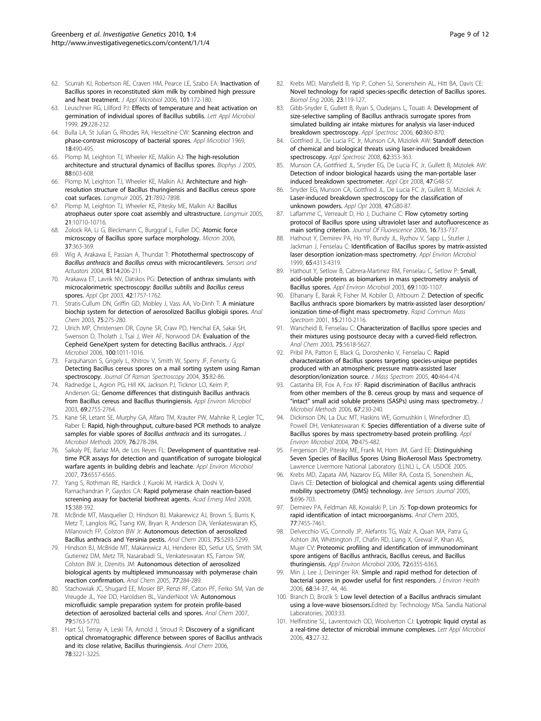- <span id="page-8-0"></span>62. Scurrah KJ, Robertson RE, Craven HM, Pearce LE, Szabo EA: [Inactivation of](http://www.ncbi.nlm.nih.gov/pubmed/16834604?dopt=Abstract) [Bacillus spores in reconstituted skim milk by combined high pressure](http://www.ncbi.nlm.nih.gov/pubmed/16834604?dopt=Abstract) [and heat treatment.](http://www.ncbi.nlm.nih.gov/pubmed/16834604?dopt=Abstract) J Appl Microbiol 2006, 101:172-180.
- 63. Leuschner RG, Lillford PJ: [Effects of temperature and heat activation on](http://www.ncbi.nlm.nih.gov/pubmed/10583749?dopt=Abstract) [germination of individual spores of Bacillus subtilis.](http://www.ncbi.nlm.nih.gov/pubmed/10583749?dopt=Abstract) Lett Appl Microbiol 1999, 29:228-232.
- 64. Bulla LA, St Julian G, Rhodes RA, Hesseltine CW: [Scanning electron and](http://www.ncbi.nlm.nih.gov/pubmed/4907010?dopt=Abstract) [phase-contrast microscopy of bacterial spores.](http://www.ncbi.nlm.nih.gov/pubmed/4907010?dopt=Abstract) Appl Microbiol 1969, 18:490-495.
- 65. Plomp M, Leighton TJ, Wheeler KE, Malkin AJ: [The high-resolution](http://www.ncbi.nlm.nih.gov/pubmed/15501940?dopt=Abstract) [architecture and structural dynamics of Bacillus spores.](http://www.ncbi.nlm.nih.gov/pubmed/15501940?dopt=Abstract) Biophys J 2005, 88:603-608.
- 66. Plomp M, Leighton TJ, Wheeler KE, Malkin AJ: [Architecture and high](http://www.ncbi.nlm.nih.gov/pubmed/16089397?dopt=Abstract)[resolution structure of Bacillus thuringiensis and Bacillus cereus spore](http://www.ncbi.nlm.nih.gov/pubmed/16089397?dopt=Abstract) [coat surfaces.](http://www.ncbi.nlm.nih.gov/pubmed/16089397?dopt=Abstract) Langmuir 2005, 21:7892-7898.
- 67. Plomp M, Leighton TJ, Wheeler KE, Pitesky ME, Malkin AJ: [Bacillus](http://www.ncbi.nlm.nih.gov/pubmed/16262341?dopt=Abstract) [atrophaeus outer spore coat assembly and ultrastructure.](http://www.ncbi.nlm.nih.gov/pubmed/16262341?dopt=Abstract) Langmuir 2005, 21:10710-10716.
- 68. Zolock RA, Li G, Bleckmann C, Burggraf L, Fuller DC: [Atomic force](http://www.ncbi.nlm.nih.gov/pubmed/16376084?dopt=Abstract) [microscopy of Bacillus spore surface morphology.](http://www.ncbi.nlm.nih.gov/pubmed/16376084?dopt=Abstract) Micron 2006, 37:363-369.
- 69. Wig A, Arakawa E, Passian A, Thundat T: Photothermal spectroscopy of Bacillus anthracis and Bacillus cereus with microcantilevers. Sensors and Actuators 2004, B114:206-211.
- 70. Arakawa ET, Lavrik NV, Datskos PG: [Detection of anthrax simulants with](http://www.ncbi.nlm.nih.gov/pubmed/12683752?dopt=Abstract) [microcalorimetric spectroscopy:](http://www.ncbi.nlm.nih.gov/pubmed/12683752?dopt=Abstract) Bacillus subtilis and Bacillus cereus [spores.](http://www.ncbi.nlm.nih.gov/pubmed/12683752?dopt=Abstract) Appl Opt 2003, 42:1757-1762.
- 71. Stratis-Cullum DN, Griffin GD, Mobley J, Vass AA, Vo-Dinh T: [A miniature](http://www.ncbi.nlm.nih.gov/pubmed/12553762?dopt=Abstract) [biochip system for detection of aerosolized Bacillus globigii spores.](http://www.ncbi.nlm.nih.gov/pubmed/12553762?dopt=Abstract) Anal Chem 2003, 75:275-280.
- 72. Ulrich MP, Christensen DR, Coyne SR, Craw PD, Henchal EA, Sakai SH, Swenson D, Tholath J, Tsai J, Weir AF, Norwood DA: [Evaluation of the](http://www.ncbi.nlm.nih.gov/pubmed/16630001?dopt=Abstract) [Cepheid GeneXpert system for detecting Bacillus anthracis.](http://www.ncbi.nlm.nih.gov/pubmed/16630001?dopt=Abstract) J Appl Microbiol 2006, 100:1011-1016.
- 73. Farquharson S, Grigely L, Khitrov V, Smith W, Sperry JF, Fenerty G: Detecting Bacillus cereus spores on a mail sorting system using Raman spectroscopy. Journal Of Raman Spectroscopy 2004, 35:82-86.
- 74. Radnedge L, Agron PG, Hill KK, Jackson PJ, Ticknor LO, Keim P, Andersen GL: [Genome differences that distinguish Bacillus anthracis](http://www.ncbi.nlm.nih.gov/pubmed/12732546?dopt=Abstract) [from Bacillus cereus and Bacillus thuringiensis.](http://www.ncbi.nlm.nih.gov/pubmed/12732546?dopt=Abstract) Appl Environ Microbiol 2003, 69:2755-2764.
- 75. Kane SR, Letant SE, Murphy GA, Alfaro TM, Krauter PW, Mahnke R, Legler TC, Raber E: [Rapid, high-throughput, culture-based PCR methods to analyze](http://www.ncbi.nlm.nih.gov/pubmed/19141303?dopt=Abstract) [samples for viable spores of](http://www.ncbi.nlm.nih.gov/pubmed/19141303?dopt=Abstract) Bacillus anthracis and its surrogates. J Microbiol Methods 2009, 76:278-284.
- 76. Saikaly PE, Barlaz MA, de Los Reyes FL: [Development of quantitative real](http://www.ncbi.nlm.nih.gov/pubmed/17720820?dopt=Abstract)[time PCR assays for detection and quantification of surrogate biological](http://www.ncbi.nlm.nih.gov/pubmed/17720820?dopt=Abstract) [warfare agents in building debris and leachate.](http://www.ncbi.nlm.nih.gov/pubmed/17720820?dopt=Abstract) Appl Environ Microbiol 2007, 73:6557-6565.
- 77. Yang S, Rothman RE, Hardick J, Kuroki M, Hardick A, Doshi V, Ramachandran P, Gaydos CA: [Rapid polymerase chain reaction-based](http://www.ncbi.nlm.nih.gov/pubmed/18370996?dopt=Abstract) [screening assay for bacterial biothreat agents.](http://www.ncbi.nlm.nih.gov/pubmed/18370996?dopt=Abstract) Acad Emerg Med 2008, 15:388-392.
- 78. McBride MT, Masquelier D, Hindson BJ, Makarewicz AJ, Brown S, Burris K, Metz T, Langlois RG, Tsang KW, Bryan R, Anderson DA, Venkateswaran KS, Milanovich FP, Colston BW Jr: [Autonomous detection of aerosolized](http://www.ncbi.nlm.nih.gov/pubmed/14710805?dopt=Abstract) [Bacillus anthracis and Yersinia pestis.](http://www.ncbi.nlm.nih.gov/pubmed/14710805?dopt=Abstract) Anal Chem 2003, 75:5293-5299.
- 79. Hindson BJ, McBride MT, Makarewicz AJ, Henderer BD, Setlur US, Smith SM, Gutierrez DM, Metz TR, Nasarabadi SL, Venkateswaran KS, Farrow SW, Colston BW Jr, Dzenitis JM: [Autonomous detection of aerosolized](http://www.ncbi.nlm.nih.gov/pubmed/15623307?dopt=Abstract) [biological agents by multiplexed immunoassay with polymerase chain](http://www.ncbi.nlm.nih.gov/pubmed/15623307?dopt=Abstract) [reaction confirmation.](http://www.ncbi.nlm.nih.gov/pubmed/15623307?dopt=Abstract) Anal Chem 2005, 77:284-289.
- 80. Stachowiak JC, Shugard EE, Mosier BP, Renzi RF, Caton PF, Ferko SM, Van de Vreugde JL, Yee DD, Haroldsen BL, VanderNoot VA: [Autonomous](http://www.ncbi.nlm.nih.gov/pubmed/17591754?dopt=Abstract) [microfluidic sample preparation system for protein profile-based](http://www.ncbi.nlm.nih.gov/pubmed/17591754?dopt=Abstract) [detection of aerosolized bacterial cells and spores.](http://www.ncbi.nlm.nih.gov/pubmed/17591754?dopt=Abstract) Anal Chem 2007, 79:5763-5770.
- 81. Hart SJ, Terray A, Leski TA, Arnold J, Stroud R: [Discovery of a significant](http://www.ncbi.nlm.nih.gov/pubmed/16643018?dopt=Abstract) [optical chromatographic difference between spores of Bacillus anthracis](http://www.ncbi.nlm.nih.gov/pubmed/16643018?dopt=Abstract) [and its close relative, Bacillus thuringiensis.](http://www.ncbi.nlm.nih.gov/pubmed/16643018?dopt=Abstract) Anal Chem 2006, 78:3221-3225.
- 82. Krebs MD, Mansfield B, Yip P, Cohen SJ, Sonenshein AL, Hitt BA, Davis CE: [Novel technology for rapid species-specific detection of Bacillus spores.](http://www.ncbi.nlm.nih.gov/pubmed/16542873?dopt=Abstract) Biomol Eng 2006, 23:119-127.
- 83. Gibb-Snyder E, Gullett B, Ryan S, Oudejans L, Touati A: [Development of](http://www.ncbi.nlm.nih.gov/pubmed/16925921?dopt=Abstract) [size-selective sampling of Bacillus anthracis surrogate spores from](http://www.ncbi.nlm.nih.gov/pubmed/16925921?dopt=Abstract) [simulated building air intake mixtures for analysis via laser-induced](http://www.ncbi.nlm.nih.gov/pubmed/16925921?dopt=Abstract) [breakdown spectroscopy.](http://www.ncbi.nlm.nih.gov/pubmed/16925921?dopt=Abstract) Appl Spectrosc 2006, 60:860-870.
- 84. Gottfried JL, De Lucia FC Jr, Munson CA, Miziolek AW: [Standoff detection](http://www.ncbi.nlm.nih.gov/pubmed/18416891?dopt=Abstract) [of chemical and biological threats using laser-induced breakdown](http://www.ncbi.nlm.nih.gov/pubmed/18416891?dopt=Abstract) [spectroscopy.](http://www.ncbi.nlm.nih.gov/pubmed/18416891?dopt=Abstract) Appl Spectrosc 2008, 62:353-363.
- 85. Munson CA, Gottfried JL, Snyder EG, De Lucia FC Jr, Gullett B, Miziolek AW: [Detection of indoor biological hazards using the man-portable laser](http://www.ncbi.nlm.nih.gov/pubmed/19122702?dopt=Abstract) [induced breakdown spectrometer.](http://www.ncbi.nlm.nih.gov/pubmed/19122702?dopt=Abstract) Appl Opt 2008, 47:G48-57.
- Snyder EG, Munson CA, Gottfried JL, De Lucia FC Jr, Gullett B, Miziolek A: [Laser-induced breakdown spectroscopy for the classification of](http://www.ncbi.nlm.nih.gov/pubmed/19122707?dopt=Abstract) [unknown powders.](http://www.ncbi.nlm.nih.gov/pubmed/19122707?dopt=Abstract) Appl Opt 2008, 47:G80-87.
- 87. Laflamme C, Verreault D, Ho J, Duchaine C: [Flow cytometry sorting](http://www.ncbi.nlm.nih.gov/pubmed/17031569?dopt=Abstract) [protocol of Bacillus spore using ultraviolet laser and autofluorescence as](http://www.ncbi.nlm.nih.gov/pubmed/17031569?dopt=Abstract) [main sorting criterion.](http://www.ncbi.nlm.nih.gov/pubmed/17031569?dopt=Abstract) Journal Of Fluorescence 2006, 16:733-737
- 88. Hathout Y, Demirev PA, Ho YP, Bundy JL, Ryzhov V, Sapp L, Stutler J, Jackman J, Fenselau C: [Identification of Bacillus spores by matrix-assisted](http://www.ncbi.nlm.nih.gov/pubmed/10508053?dopt=Abstract) [laser desorption ionization-mass spectrometry.](http://www.ncbi.nlm.nih.gov/pubmed/10508053?dopt=Abstract) Appl Environ Microbiol 1999, 65:4313-4319.
- 89. Hathout Y, Setlow B, Cabrera-Martinez RM, Fenselau C, Setlow P: [Small,](http://www.ncbi.nlm.nih.gov/pubmed/12571035?dopt=Abstract) [acid-soluble proteins as biomarkers in mass spectrometry analysis of](http://www.ncbi.nlm.nih.gov/pubmed/12571035?dopt=Abstract) [Bacillus spores.](http://www.ncbi.nlm.nih.gov/pubmed/12571035?dopt=Abstract) Appl Environ Microbiol 2003, 69:1100-1107.
- 90. Elhanany E, Barak R, Fisher M, Kobiler D, Altboum Z: [Detection of specific](http://www.ncbi.nlm.nih.gov/pubmed/11746875?dopt=Abstract) [Bacillus anthracis spore biomarkers by matrix-assisted laser desorption/](http://www.ncbi.nlm.nih.gov/pubmed/11746875?dopt=Abstract) [ionization time-of-flight mass spectrometry.](http://www.ncbi.nlm.nih.gov/pubmed/11746875?dopt=Abstract) Rapid Commun Mass Spectrom 2001, 15:2110-2116.
- 91. Warscheid B, Fenselau C: [Characterization of Bacillus spore species and](http://www.ncbi.nlm.nih.gov/pubmed/14710846?dopt=Abstract) [their mixtures using postsource decay with a curved-field reflectron.](http://www.ncbi.nlm.nih.gov/pubmed/14710846?dopt=Abstract) Anal Chem 2003, 75:5618-5627.
- 92. Pribil PA, Patton E, Black G, Doroshenko V, Fenselau C: [Rapid](http://www.ncbi.nlm.nih.gov/pubmed/15712356?dopt=Abstract) [characterization of Bacillus spores targeting species-unique peptides](http://www.ncbi.nlm.nih.gov/pubmed/15712356?dopt=Abstract) [produced with an atmospheric pressure matrix-assisted laser](http://www.ncbi.nlm.nih.gov/pubmed/15712356?dopt=Abstract) [desorption/ionization source.](http://www.ncbi.nlm.nih.gov/pubmed/15712356?dopt=Abstract) J Mass Spectrom 2005, 40:464-474.
- 93. Castanha ER, Fox A, Fox KF: [Rapid discrimination of Bacillus anthracis](http://www.ncbi.nlm.nih.gov/pubmed/16730083?dopt=Abstract) [from other members of the B. cereus group by mass and sequence of](http://www.ncbi.nlm.nih.gov/pubmed/16730083?dopt=Abstract) "intact" [small acid soluble proteins \(SASPs\) using mass spectrometry.](http://www.ncbi.nlm.nih.gov/pubmed/16730083?dopt=Abstract) Microbiol Methods 2006, 67:230-240.
- 94. Dickinson DN, La Duc MT, Haskins WE, Gornushkin I, Winefordner JD, Powell DH, Venkateswaran K: [Species differentiation of a diverse suite of](http://www.ncbi.nlm.nih.gov/pubmed/14711677?dopt=Abstract) [Bacillus spores by mass spectrometry-based protein profiling.](http://www.ncbi.nlm.nih.gov/pubmed/14711677?dopt=Abstract) Appl Environ Microbiol 2004, 70:475-482.
- 95. Fergenson DP, Pitesky ME, Frank M, Horn JM, Gard EE: Distinguishing Seven Species of Bacillus Spores Using BioAerosol Mass Spectrometry. Lawrence Livermore National Laboratory (LLNL) L, CA: USDOE 2005.
- 96. Krebs MD, Zapata AM, Nazarov EG, Miller RA, Costa IS, Sonenshein AL, Davis CE: Detection of biological and chemical agents using differential mobility spectrometry (DMS) technology. Ieee Sensors Journal 2005, 5:696-703.
- 97. Demirev PA, Feldman AB, Kowalski P, Lin JS: [Top-down proteomics for](http://www.ncbi.nlm.nih.gov/pubmed/16285700?dopt=Abstract) [rapid identification of intact microorganisms.](http://www.ncbi.nlm.nih.gov/pubmed/16285700?dopt=Abstract) Anal Chem 2005, 77:7455-7461.
- 98. Delvecchio VG, Connolly JP, Alefantis TG, Walz A, Quan MA, Patra G, Ashton JM, Whittington JT, Chafin RD, Liang X, Grewal P, Khan AS, Mujer CV: [Proteomic profiling and identification of immunodominant](http://www.ncbi.nlm.nih.gov/pubmed/16957262?dopt=Abstract) [spore antigens of Bacillus anthracis, Bacillus cereus, and Bacillus](http://www.ncbi.nlm.nih.gov/pubmed/16957262?dopt=Abstract) [thuringiensis.](http://www.ncbi.nlm.nih.gov/pubmed/16957262?dopt=Abstract) Appl Environ Microbiol 2006, 72:6355-6363.
- 99. Min J, Lee J, Deininger RA: [Simple and rapid method for detection of](http://www.ncbi.nlm.nih.gov/pubmed/16637561?dopt=Abstract) [bacterial spores in powder useful for first responders.](http://www.ncbi.nlm.nih.gov/pubmed/16637561?dopt=Abstract) J Environ Health 2006, 68:34-37, 44, 46.
- 100. Branch D, Brozik S: Low level detection of a Bacillus anthracis simulant using a love-wave biosensors.Edited by: Technology MSa. Sandia National Laboratories; 2003:33.
- 101. Helfinstine SL, Lavrentovich OD, Woolverton CJ: [Lyotropic liquid crystal as](http://www.ncbi.nlm.nih.gov/pubmed/16834717?dopt=Abstract) [a real-time detector of microbial immune complexes.](http://www.ncbi.nlm.nih.gov/pubmed/16834717?dopt=Abstract) Lett Appl Microbiol 2006, 43:27-32.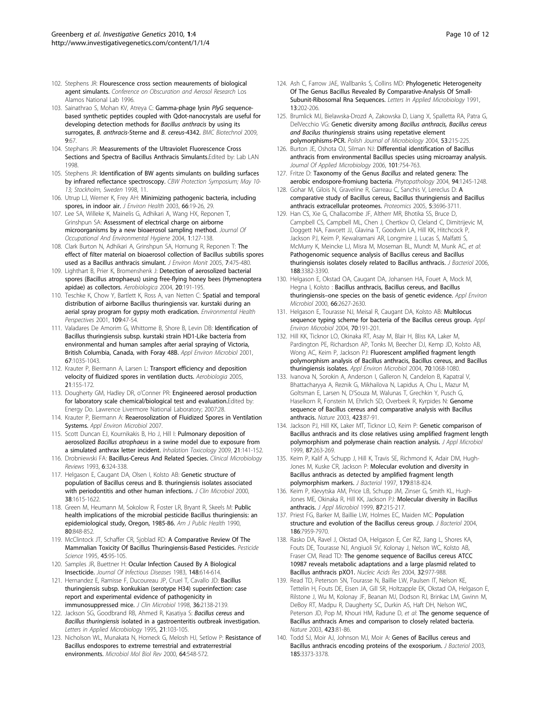- <span id="page-9-0"></span>102. Stephens JR: Flourescence cross section meaurements of biological agent simulants. Conference on Obscuration and Aerosol Research Los Alamos National Lab 1996.
- 103. Sainathrao S, Mohan KV, Atreya C: [Gamma-phage lysin](http://www.ncbi.nlm.nih.gov/pubmed/19624851?dopt=Abstract) PlyG sequence[based synthetic peptides coupled with Qdot-nanocrystals are useful for](http://www.ncbi.nlm.nih.gov/pubmed/19624851?dopt=Abstract) [developing detection methods for](http://www.ncbi.nlm.nih.gov/pubmed/19624851?dopt=Abstract) Bacillus anthracis by using its surrogates, B. anthracis[-Sterne and](http://www.ncbi.nlm.nih.gov/pubmed/19624851?dopt=Abstract) B. cereus-4342. BMC Biotechnol 2009, 9:67.
- 104. Stephans JR: Measurements of the Ultraviolet Fluorescence Cross Sections and Spectra of Bacillus Anthracis Simulants. Edited by: Lab LAN 1998.
- 105. Stephens JR: Identification of BW agents simulants on building surfaces by infrared reflectance spectroscopy. CBW Protection Symposium; May 10-13; Stockholm, Sweden 1998, 11.
- 106. Utrup LJ, Werner K, Frey AH: [Minimizing pathogenic bacteria, including](http://www.ncbi.nlm.nih.gov/pubmed/14679721?dopt=Abstract) [spores, in indoor air.](http://www.ncbi.nlm.nih.gov/pubmed/14679721?dopt=Abstract) J Environ Health 2003, 66:19-26, 29.
- 107. Lee SA, Willeke K, Mainelis G, Adhikari A, Wang HX, Reponen T, Grinshpun SA: [Assessment of electrical charge on airborne](http://www.ncbi.nlm.nih.gov/pubmed/15204870?dopt=Abstract) [microorganisms by a new bioaerosol sampling method.](http://www.ncbi.nlm.nih.gov/pubmed/15204870?dopt=Abstract) Journal Of Occupational And Environmental Hygiene 2004, 1:127-138.
- 108. Clark Burton N, Adhikari A, Grinshpun SA, Hornung R, Reponen T: [The](http://www.ncbi.nlm.nih.gov/pubmed/15877169?dopt=Abstract) [effect of filter material on bioaerosol collection of Bacillus subtilis spores](http://www.ncbi.nlm.nih.gov/pubmed/15877169?dopt=Abstract) [used as a Bacillus anthracis simulant.](http://www.ncbi.nlm.nih.gov/pubmed/15877169?dopt=Abstract) J Environ Monit 2005, 7:475-480.
- 109. Lighthart B, Prier K, Bromenshenk J: Detection of aerosolized bacterial spores (Bacillus atrophaeus) using free-flying honey bees (Hymenoptera apidae) as collectors. Aerobiologica 2004, 20:191-195.
- 110. Teschke K, Chow Y, Bartlett K, Ross A, van Netten C: [Spatial and temporal](http://www.ncbi.nlm.nih.gov/pubmed/11171524?dopt=Abstract) [distribution of airborne Bacillus thuringiensis var. kurstaki during an](http://www.ncbi.nlm.nih.gov/pubmed/11171524?dopt=Abstract) [aerial spray program for gypsy moth eradication.](http://www.ncbi.nlm.nih.gov/pubmed/11171524?dopt=Abstract) Environmental Health Perspectives 2001, 109:47-54.
- 111. Valadares De Amorim G, Whittome B, Shore B, Levin DB: [Identification of](http://www.ncbi.nlm.nih.gov/pubmed/11229889?dopt=Abstract) [Bacillus thuringiensis subsp. kurstaki strain HD1-Like bacteria from](http://www.ncbi.nlm.nih.gov/pubmed/11229889?dopt=Abstract) [environmental and human samples after aerial spraying of Victoria,](http://www.ncbi.nlm.nih.gov/pubmed/11229889?dopt=Abstract) [British Columbia, Canada, with Foray 48B.](http://www.ncbi.nlm.nih.gov/pubmed/11229889?dopt=Abstract) Appl Environ Microbiol 2001, 67:1035-1043.
- 112. Krauter P, Biermann A, Larsen L: Transport efficiency and deposition velocity of fluidized spores in ventilation ducts. Aerobiologia 2005, 21:155-172.
- 113. Dougherty GM, Hadley DR, o'Conner PR: Engineered aerosol production for laboratory scale chemical/biological test and evaluation.Edited by: Energy Do. Lawrence Livermore National Laboratory; 2007:28.
- 114. Krauter P, Biermann A: [Reaerosolization of Fluidized Spores in Ventilation](http://www.ncbi.nlm.nih.gov/pubmed/17293522?dopt=Abstract) [Systems.](http://www.ncbi.nlm.nih.gov/pubmed/17293522?dopt=Abstract) Appl Environ Microbiol 2007.
- 115. Scott Duncan EJ, Kournikakis B, Ho J, Hill I: [Pulmonary deposition of](http://www.ncbi.nlm.nih.gov/pubmed/18923948?dopt=Abstract) aerosolized Bacillus atrophaeus [in a swine model due to exposure from](http://www.ncbi.nlm.nih.gov/pubmed/18923948?dopt=Abstract) [a simulated anthrax letter incident.](http://www.ncbi.nlm.nih.gov/pubmed/18923948?dopt=Abstract) Inhalation Toxicology 2009, 21:141-152.
- 116. Drobniewski FA: [Bacillus-Cereus And Related Species.](http://www.ncbi.nlm.nih.gov/pubmed/8269390?dopt=Abstract) Clinical Microbiology Reviews 1993, 6:324-338.
- 117. Helgason E, Caugant DA, Olsen I, Kolsto AB: [Genetic structure of](http://www.ncbi.nlm.nih.gov/pubmed/10747152?dopt=Abstract) [population of Bacillus cereus and B. thuringiensis isolates associated](http://www.ncbi.nlm.nih.gov/pubmed/10747152?dopt=Abstract) [with periodontitis and other human infections.](http://www.ncbi.nlm.nih.gov/pubmed/10747152?dopt=Abstract) J Clin Microbiol 2000, 38:1615-1622.
- 118. Green M, Heumann M, Sokolow R, Foster LR, Bryant R, Skeels M: [Public](http://www.ncbi.nlm.nih.gov/pubmed/2356910?dopt=Abstract) [health implications of the microbial pesticide Bacillus thuringiensis: an](http://www.ncbi.nlm.nih.gov/pubmed/2356910?dopt=Abstract) [epidemiological study, Oregon, 1985-86.](http://www.ncbi.nlm.nih.gov/pubmed/2356910?dopt=Abstract) Am J Public Health 1990, 80:848-852.
- 119. McClintock JT, Schaffer CR, Sjoblad RD: A Comparative Review Of The Mammalian Toxicity Of Bacillus Thuringiensis-Based Pesticides. Pesticide Science 1995, 45:95-105.
- 120. Samples JR, Buettner H: [Ocular Infection Caused By A Biological](http://www.ncbi.nlm.nih.gov/pubmed/6619584?dopt=Abstract) [Insecticide.](http://www.ncbi.nlm.nih.gov/pubmed/6619584?dopt=Abstract) Journal Of Infectious Diseases 1983, 148:614-614.
- 121. Hernandez E, Ramisse F, Ducoureau JP, Cruel T, Cavallo JD: [Bacillus](http://www.ncbi.nlm.nih.gov/pubmed/9650985?dopt=Abstract) [thuringiensis subsp. konkukian \(serotype H34\) superinfection: case](http://www.ncbi.nlm.nih.gov/pubmed/9650985?dopt=Abstract) [report and experimental evidence of pathogenicity in](http://www.ncbi.nlm.nih.gov/pubmed/9650985?dopt=Abstract) [immunosuppressed mice.](http://www.ncbi.nlm.nih.gov/pubmed/9650985?dopt=Abstract) J Clin Microbiol 1998, 36:2138-2139.
- 122. Jackson SG, Goodbrand RB, Ahmed R, Kasatiya S: [Bacillus cereus](http://www.ncbi.nlm.nih.gov/pubmed/7639990?dopt=Abstract) and Bacillus thuringiensis [isolated in a gastroenteritis outbreak investigation.](http://www.ncbi.nlm.nih.gov/pubmed/7639990?dopt=Abstract) Letters in Applied Microbiology 1995, 21:103-105.
- 123. Nicholson WL, Munakata N, Horneck G, Melosh HJ, Setlow P: [Resistance of](http://www.ncbi.nlm.nih.gov/pubmed/10974126?dopt=Abstract) [Bacillus endospores to extreme terrestrial and extraterrestrial](http://www.ncbi.nlm.nih.gov/pubmed/10974126?dopt=Abstract) [environments.](http://www.ncbi.nlm.nih.gov/pubmed/10974126?dopt=Abstract) Microbiol Mol Biol Rev 2000, 64:548-572.
- 124. Ash C, Farrow JAE, Wallbanks S, Collins MD: Phylogenetic Heterogeneity Of The Genus Bacillus Revealed By Comparative-Analysis Of Small-Subunit-Ribosomal Rna Sequences. Letters In Applied Microbiology 1991, 13:202-206.
- 125. Brumlick MJ, Bielawska-Drozd A, Zakowska D, Liang X, Spalletta RA, Patra G, DelVecchio VG: Genetic diversity among [Bacillus anthracis, Bacillus cereus](http://www.ncbi.nlm.nih.gov/pubmed/15790070?dopt=Abstract) and Bacilus thuringiensis [strains using repetative element](http://www.ncbi.nlm.nih.gov/pubmed/15790070?dopt=Abstract) [polymorphisms-PCR.](http://www.ncbi.nlm.nih.gov/pubmed/15790070?dopt=Abstract) Polish Journal of Microbiology 2004, 53:215-225.
- 126. Burton JE, Oshota OJ, Silman NJ: [Differential identification of Bacillus](http://www.ncbi.nlm.nih.gov/pubmed/16968287?dopt=Abstract) [anthracis from environmental Bacillus species using microarray analysis.](http://www.ncbi.nlm.nih.gov/pubmed/16968287?dopt=Abstract) Journal Of Applied Microbiology 2006, 101:754-763.
- 127. Fritze D: [Taxonomy of the Genus](http://www.ncbi.nlm.nih.gov/pubmed/18944461?dopt=Abstract) Bacillus and related genera: The [aerobic endospore-fromiung bacteria.](http://www.ncbi.nlm.nih.gov/pubmed/18944461?dopt=Abstract) Phytopathology 2004, 94:1245-1248.
- 128. Gohar M, Gilois N, Graveline R, Garreau C, Sanchis V, Lereclus D: [A](http://www.ncbi.nlm.nih.gov/pubmed/16167365?dopt=Abstract) [comparative study of Bacillus cereus, Bacillus thuringiensis and Bacillus](http://www.ncbi.nlm.nih.gov/pubmed/16167365?dopt=Abstract) [anthracis extracellular proteomes.](http://www.ncbi.nlm.nih.gov/pubmed/16167365?dopt=Abstract) Proteomics 2005, 5:3696-3711.
- 129. Han CS, Xie G, Challacombe JF, Altherr MR, Bhotika SS, Bruce D, Campbell CS, Campbell ML, Chen J, Chertkov O, Cleland C, Dimitrijevic M, Doggett NA, Fawcett JJ, Glavina T, Goodwin LA, Hill KK, Hitchcock P, Jackson PJ, Keim P, Kewalramani AR, Longmire J, Lucas S, Malfatti S, McMurry K, Meincke LJ, Misra M, Moseman BL, Mundt M, Munk AC, et al: [Pathogenomic sequence analysis of Bacillus cereus and Bacillus](http://www.ncbi.nlm.nih.gov/pubmed/16621833?dopt=Abstract) [thuringiensis isolates closely related to Bacillus anthracis.](http://www.ncbi.nlm.nih.gov/pubmed/16621833?dopt=Abstract) J Bacteriol 2006, 188:3382-3390.
- 130. Helgason E, Okstad OA, Caugant DA, Johansen HA, Fouet A, Mock M, Hegna I, Kolsto : [Bacillus anthracis, Bacillus cereus, and Bacillus](http://www.ncbi.nlm.nih.gov/pubmed/10831447?dopt=Abstract) thuringiensis–[one species on the basis of genetic evidence.](http://www.ncbi.nlm.nih.gov/pubmed/10831447?dopt=Abstract) Appl Environ Microbiol 2000, 66:2627-2630.
- 131. Helgason E, Tourasse NJ, Meisal R, Caugant DA, Kolsto AB: [Multilocus](http://www.ncbi.nlm.nih.gov/pubmed/14711642?dopt=Abstract) [sequence typing scheme for bacteria of the Bacillus cereus group.](http://www.ncbi.nlm.nih.gov/pubmed/14711642?dopt=Abstract) Appl Environ Microbiol 2004, 70:191-201.
- 132. Hill KK, Ticknor LO, Okinaka RT, Asay M, Blair H, Bliss KA, Laker M, Pardington PE, Richardson AP, Tonks M, Beecher DJ, Kemp JD, Kolsto AB, Wong AC, Keim P, Jackson PJ: [Fluorescent amplified fragment length](http://www.ncbi.nlm.nih.gov/pubmed/14766590?dopt=Abstract) [polymorphism analysis of Bacillus anthracis, Bacillus cereus, and Bacillus](http://www.ncbi.nlm.nih.gov/pubmed/14766590?dopt=Abstract) [thuringiensis isolates.](http://www.ncbi.nlm.nih.gov/pubmed/14766590?dopt=Abstract) Appl Environ Microbiol 2004, 70:1068-1080.
- 133. Ivanova N, Sorokin A, Anderson I, Galleron N, Candelon B, Kapatral V, Bhattacharyya A, Reznik G, Mikhailova N, Lapidus A, Chu L, Mazur M, Goltsman E, Larsen N, D'Souza M, Walunas T, Grechkin Y, Pusch G, Haselkorn R, Fonstein M, Ehrlich SD, Overbeek R, Kyrpides N: [Genome](http://www.ncbi.nlm.nih.gov/pubmed/12721630?dopt=Abstract) [sequence of Bacillus cereus and comparative analysis with Bacillus](http://www.ncbi.nlm.nih.gov/pubmed/12721630?dopt=Abstract) [anthracis.](http://www.ncbi.nlm.nih.gov/pubmed/12721630?dopt=Abstract) Nature 2003, 423:87-91.
- 134. Jackson PJ, Hill KK, Laker MT, Ticknor LO, Keim P: [Genetic comparison of](http://www.ncbi.nlm.nih.gov/pubmed/10475963?dopt=Abstract) [Bacillus anthracis and its close relatives using amplified fragment length](http://www.ncbi.nlm.nih.gov/pubmed/10475963?dopt=Abstract) [polymorphism and polymerase chain reaction analysis.](http://www.ncbi.nlm.nih.gov/pubmed/10475963?dopt=Abstract) J Appl Microbiol 1999, 87:263-269.
- 135. Keim P, Kalif A, Schupp J, Hill K, Travis SE, Richmond K, Adair DM, Hugh-Jones M, Kuske CR, Jackson P: [Molecular evolution and diversity in](http://www.ncbi.nlm.nih.gov/pubmed/9006038?dopt=Abstract) [Bacillus anthracis as detected by amplified fragment length](http://www.ncbi.nlm.nih.gov/pubmed/9006038?dopt=Abstract) [polymorphism markers.](http://www.ncbi.nlm.nih.gov/pubmed/9006038?dopt=Abstract) J Bacteriol 1997, 179:818-824.
- 136. Keim P, Klevytska AM, Price LB, Schupp JM, Zinser G, Smith KL, Hugh-Jones ME, Okinaka R, Hill KK, Jackson PJ: [Molecular diversity in Bacillus](http://www.ncbi.nlm.nih.gov/pubmed/10475952?dopt=Abstract) [anthracis.](http://www.ncbi.nlm.nih.gov/pubmed/10475952?dopt=Abstract) J Appl Microbiol 1999, 87:215-217.
- 137. Priest FG, Barker M, Baillie LW, Holmes FC, Maiden MC: [Population](http://www.ncbi.nlm.nih.gov/pubmed/15547268?dopt=Abstract) [structure and evolution of the Bacillus cereus group.](http://www.ncbi.nlm.nih.gov/pubmed/15547268?dopt=Abstract) *J Bacteriol* 2004, 186:7959-7970.
- 138. Rasko DA, Ravel J, Okstad OA, Helgason E, Cer RZ, Jiang L, Shores KA, Fouts DE, Tourasse NJ, Angiuoli SV, Kolonay J, Nelson WC, Kolsto AB, Fraser CM, Read TD: [The genome sequence of Bacillus cereus ATCC](http://www.ncbi.nlm.nih.gov/pubmed/14960714?dopt=Abstract) [10987 reveals metabolic adaptations and a large plasmid related to](http://www.ncbi.nlm.nih.gov/pubmed/14960714?dopt=Abstract) [Bacillus anthracis pXO1.](http://www.ncbi.nlm.nih.gov/pubmed/14960714?dopt=Abstract) Nucleic Acids Res 2004, 32:977-988.
- 139. Read TD, Peterson SN, Tourasse N, Baillie LW, Paulsen IT, Nelson KE, Tettelin H, Fouts DE, Eisen JA, Gill SR, Holtzapple EK, Okstad OA, Helgason E, Rilstone J, Wu M, Kolonay JF, Beanan MJ, Dodson RJ, Brinkac LM, Gwinn M, DeBoy RT, Madpu R, Daugherty SC, Durkin AS, Haft DH, Nelson WC, Peterson JD, Pop M, Khouri HM, Radune D, et al: [The genome sequence of](http://www.ncbi.nlm.nih.gov/pubmed/12721629?dopt=Abstract) [Bacillus anthracis Ames and comparison to closely related bacteria.](http://www.ncbi.nlm.nih.gov/pubmed/12721629?dopt=Abstract) Nature 2003, 423:81-86.
- 140. Todd SJ, Moir AJ, Johnson MJ, Moir A: [Genes of Bacillus cereus and](http://www.ncbi.nlm.nih.gov/pubmed/12754235?dopt=Abstract) [Bacillus anthracis encoding proteins of the exosporium.](http://www.ncbi.nlm.nih.gov/pubmed/12754235?dopt=Abstract) *J Bacteriol* 2003, 185:3373-3378.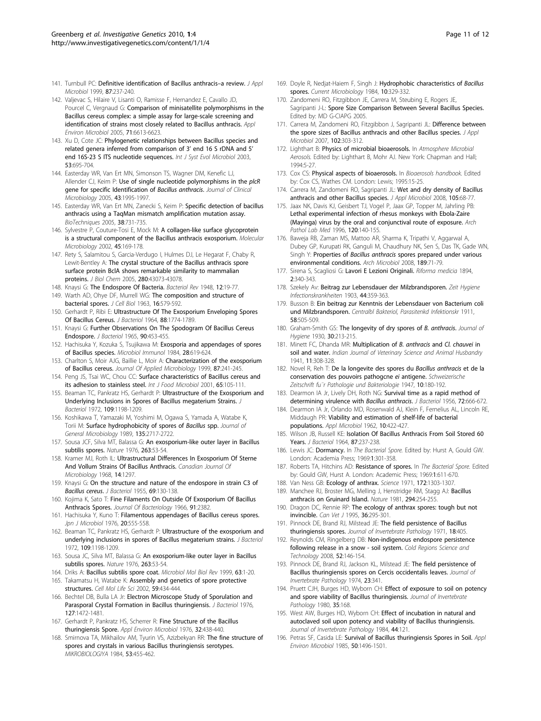- <span id="page-10-0"></span>141. Turnbull PC: [Definitive identification of Bacillus anthracis](http://www.ncbi.nlm.nih.gov/pubmed/10475956?dopt=Abstract)-a review. J Appl Microbiol 1999, 87:237-240.
- 142. Valjevac S, Hilaire V, Lisanti O, Ramisse F, Hernandez E, Cavallo JD, Pourcel C, Vergnaud G: [Comparison of minisatellite polymorphisms in the](http://www.ncbi.nlm.nih.gov/pubmed/16269689?dopt=Abstract) [Bacillus cereus complex: a simple assay for large-scale screening and](http://www.ncbi.nlm.nih.gov/pubmed/16269689?dopt=Abstract) [identification of strains most closely related to Bacillus anthracis.](http://www.ncbi.nlm.nih.gov/pubmed/16269689?dopt=Abstract) Appl Environ Microbiol 2005, 71:6613-6623.
- 143. Xu D, Cote JC: [Phylogenetic relationships between Bacillus species and](http://www.ncbi.nlm.nih.gov/pubmed/12807189?dopt=Abstract) [related genera inferred from comparison of 3](http://www.ncbi.nlm.nih.gov/pubmed/12807189?dopt=Abstract)' end 16 S rDNA and 5' [end 16S-23 S ITS nucleotide sequences.](http://www.ncbi.nlm.nih.gov/pubmed/12807189?dopt=Abstract) Int J Syst Evol Microbiol 2003, 53:695-704.
- 144. Easterday WR, Van Ert MN, Simonson TS, Wagner DM, Kenefic LJ, Allender CJ, Keim P: [Use of single nucleotide polymorphisms in the](http://www.ncbi.nlm.nih.gov/pubmed/15815042?dopt=Abstract) plcR [gene for specific Identification of](http://www.ncbi.nlm.nih.gov/pubmed/15815042?dopt=Abstract) Bacillus anthracis. Journal of Clinical Microbiology 2005, 43:1995-1997.
- 145. Easterday WR, Van Ert MN, Zanecki S, Keim P: [Specific detection of bacillus](http://www.ncbi.nlm.nih.gov/pubmed/15945372?dopt=Abstract) [anthracis using a TaqMan mismatch amplification mutation assay.](http://www.ncbi.nlm.nih.gov/pubmed/15945372?dopt=Abstract) BioTechniques 2005, 38:731-735.
- 146. Sylvestre P, Couture-Tosi E, Mock M: [A collagen-like surface glycoprotein](http://www.ncbi.nlm.nih.gov/pubmed/12100557?dopt=Abstract) [is a structural component of the Bacillus anthracis exosporium.](http://www.ncbi.nlm.nih.gov/pubmed/12100557?dopt=Abstract) Molecular Microbiology 2002, 45:169-178.
- 147. Rety S, Salamitou S, Garcia-Verdugo I, Hulmes DJ, Le Hegarat F, Chaby R, Lewit-Bentley A: [The crystal structure of the Bacillus anthracis spore](http://www.ncbi.nlm.nih.gov/pubmed/16249180?dopt=Abstract) [surface protein BclA shows remarkable similarity to mammalian](http://www.ncbi.nlm.nih.gov/pubmed/16249180?dopt=Abstract) [proteins.](http://www.ncbi.nlm.nih.gov/pubmed/16249180?dopt=Abstract) J Biol Chem 2005, 280:43073-43078.
- 148. Knaysi G: The Endospore Of Bacteria. Bacteriol Rev 1948, 12:19-77.
- 149. Warth AD, Ohye DF, Murrell WG: [The composition and structure of](http://www.ncbi.nlm.nih.gov/pubmed/13999018?dopt=Abstract) [bacterial spores.](http://www.ncbi.nlm.nih.gov/pubmed/13999018?dopt=Abstract) J Cell Biol 1963, 16:579-592.
- 150. Gerhardt P, Ribi E: [Ultrastructure Of The Exosporium Enveloping Spores](http://www.ncbi.nlm.nih.gov/pubmed/14240968?dopt=Abstract) [Of Bacillus Cereus.](http://www.ncbi.nlm.nih.gov/pubmed/14240968?dopt=Abstract) J Bacteriol 1964, 88:1774-1789.
- 151. Knaysi G: [Further Observations On The Spodogram Of Bacillus Cereus](http://www.ncbi.nlm.nih.gov/pubmed/14329461?dopt=Abstract) [Endospore.](http://www.ncbi.nlm.nih.gov/pubmed/14329461?dopt=Abstract) J Bacteriol 1965, 90:453-455.
- 152. Hachisuka Y, Kozuka S, Tsujikawa M: [Exosporia and appendages of spores](http://www.ncbi.nlm.nih.gov/pubmed/6472137?dopt=Abstract) [of Bacillus species.](http://www.ncbi.nlm.nih.gov/pubmed/6472137?dopt=Abstract) Microbiol Immunol 1984, 28:619-624.
- 153. Charlton S, Moir AJG, Baillie L, Moir A: [Characterization of the exosporium](http://www.ncbi.nlm.nih.gov/pubmed/10475957?dopt=Abstract) [of Bacillus cereus.](http://www.ncbi.nlm.nih.gov/pubmed/10475957?dopt=Abstract) Journal Of Applied Microbiology 1999, 87:241-245.
- 154. Peng JS, Tsai WC, Chou CC: [Surface characteristics of Bacillus cereus and](http://www.ncbi.nlm.nih.gov/pubmed/11322692?dopt=Abstract) [its adhesion to stainless steel.](http://www.ncbi.nlm.nih.gov/pubmed/11322692?dopt=Abstract) Int J Food Microbiol 2001, 65:105-111.
- 155. Beaman TC, Pankratz HS, Gerhardt P: [Ultrastructure of the Exosporium and](http://www.ncbi.nlm.nih.gov/pubmed/4110924?dopt=Abstract) [Underlying Inclusions in Spores of Bacillus megaterium Strains.](http://www.ncbi.nlm.nih.gov/pubmed/4110924?dopt=Abstract) J Bacteriol 1972, 109:1198-1209.
- 156. Koshikawa T, Yamazaki M, Yoshimi M, Ogawa S, Yamada A, Watabe K, Torii M: [Surface hydrophobicity of spores of](http://www.ncbi.nlm.nih.gov/pubmed/2517297?dopt=Abstract) Bacillus spp. Journal of General Microbiology 1989, 135:2717-2722.
- 157. Sousa JCF, Silva MT, Balassa G: [An exosporium-like outer layer in Bacillus](http://www.ncbi.nlm.nih.gov/pubmed/822351?dopt=Abstract) [subtilis spores.](http://www.ncbi.nlm.nih.gov/pubmed/822351?dopt=Abstract) Nature 1976, 263:53-54.
- 158. Kramer MJ, Roth IL: [Ultrastructural Differences In Exosporium Of Sterne](http://www.ncbi.nlm.nih.gov/pubmed/4179555?dopt=Abstract) [And Vollum Strains Of Bacillus Anthracis.](http://www.ncbi.nlm.nih.gov/pubmed/4179555?dopt=Abstract) Canadian Journal Of Microbiology 1968, 14:1297.
- 159. Knaysi G: [On the structure and nature of the endospore in strain C3 of](http://www.ncbi.nlm.nih.gov/pubmed/14353816?dopt=Abstract) [Bacillus cereus](http://www.ncbi.nlm.nih.gov/pubmed/14353816?dopt=Abstract). J Bacteriol 1955, 69:130-138.
- 160. Kojima K, Sato T: [Fine Filaments On Outside Of Exosporium Of Bacillus](http://www.ncbi.nlm.nih.gov/pubmed/4957618?dopt=Abstract) [Anthracis Spores.](http://www.ncbi.nlm.nih.gov/pubmed/4957618?dopt=Abstract) Journal Of Bacteriology 1966, 91:2382.
- 161. Hachisuka Y, Kuno T: [Filamentous appendages of Bacillus cereus spores.](http://www.ncbi.nlm.nih.gov/pubmed/828210?dopt=Abstract) Jpn J Microbiol 1976, 20:555-558.
- 162. Beaman TC, Pankratz HS, Gerhardt P: [Ultrastructure of the exosporium and](http://www.ncbi.nlm.nih.gov/pubmed/4110924?dopt=Abstract) [underlying inclusions in spores of Bacillus megaterium strains.](http://www.ncbi.nlm.nih.gov/pubmed/4110924?dopt=Abstract) J Bacteriol 1972, 109:1198-1209.
- 163. Sousa JC, Silva MT, Balassa G: [An exosporium-like outer layer in Bacillus](http://www.ncbi.nlm.nih.gov/pubmed/822351?dopt=Abstract) [subtilis spores.](http://www.ncbi.nlm.nih.gov/pubmed/822351?dopt=Abstract) Nature 1976, 263:53-54.
- 164. Driks A: [Bacillus subtilis spore coat.](http://www.ncbi.nlm.nih.gov/pubmed/10066829?dopt=Abstract) Microbiol Mol Biol Rev 1999, 63:1-20.
- 165. Takamatsu H, Watabe K: [Assembly and genetics of spore protective](http://www.ncbi.nlm.nih.gov/pubmed/11964122?dopt=Abstract) [structures.](http://www.ncbi.nlm.nih.gov/pubmed/11964122?dopt=Abstract) Cell Mol Life Sci 2002, 59:434-444.
- 166. Bechtel DB, Bulla LA Jr: [Electron Microscope Study of Sporulation and](http://www.ncbi.nlm.nih.gov/pubmed/182671?dopt=Abstract) [Parasporal Crystal Formation in Bacillus thuringiensis.](http://www.ncbi.nlm.nih.gov/pubmed/182671?dopt=Abstract) J Bacteriol 1976, 127:1472-1481.
- 167. Gerhardt P, Pankratz HS, Scherrer R: [Fine Structure of the Bacillus](http://www.ncbi.nlm.nih.gov/pubmed/185959?dopt=Abstract) [thuringiensis Spore.](http://www.ncbi.nlm.nih.gov/pubmed/185959?dopt=Abstract) Appl Environ Microbiol 1976, 32:438-440.
- 168. Smirnova TA, Mikhailov AM, Tyurin VS, Azizbekyan RR: The fine structure of spores and crystals in various Bacillus thuringiensis serotypes. MIKROBIOLOGIYA 1984, 53:455-462.
- 169. Doyle R, Nediat-Haiem F, Singh J: Hydrophobic characteristics of Bacillus spores. Current Microbiology 1984, 10:329-332.
- 170. Zandomeni RO, Fitzgibbon JE, Carrera M, Steubing E, Rogers JE, Sagripanti J-L: Spore Size Comparison Between Several Bacillus Species. Edited by: MD G-CIAPG 2005.
- 171. Carrera M, Zandomeni RO, Fitzgibbon J, Sagripanti JL: [Difference between](http://www.ncbi.nlm.nih.gov/pubmed/17241334?dopt=Abstract) [the spore sizes of Bacillus anthracis and other Bacillus species.](http://www.ncbi.nlm.nih.gov/pubmed/17241334?dopt=Abstract) J Appl Microbiol 2007, 102:303-312.
- 172. Lighthart B: Physics of microbial bioaerosols. In Atmosphere Microbial Aerosols. Edited by: Lighthart B, Mohr AJ. New York: Chapman and Hall; 1994:5-27.
- 173. Cox CS: Physical aspects of bioaerosols. In Bioaerosols handbook. Edited by: Cox CS, Wathes CM. London: Lewis; 1995:15-25.
- 174. Carrera M, Zandomeni RO, Sagripanti JL: [Wet and dry density of Bacillus](http://www.ncbi.nlm.nih.gov/pubmed/18298528?dopt=Abstract) [anthracis and other Bacillus species.](http://www.ncbi.nlm.nih.gov/pubmed/18298528?dopt=Abstract) J Appl Microbiol 2008, 105:68-77.
- 175. Jaax NK, Davis KJ, Geisbert TJ, Vogel P, Jaax GP, Topper M, Jahrling PB: [Lethal experimental infection of rhesus monkeys with Ebola-Zaire](http://www.ncbi.nlm.nih.gov/pubmed/8712894?dopt=Abstract) [\(Mayinga\) virus by the oral and conjunctival route of exposure.](http://www.ncbi.nlm.nih.gov/pubmed/8712894?dopt=Abstract) Arch Pathol Lab Med 1996, 120:140-155.
- 176. Baweja RB, Zaman MS, Mattoo AR, Sharma K, Tripathi V, Aggarwal A, Dubey GP, Kurupati RK, Ganguli M, Chaudhury NK, Sen S, Das TK, Gade WN, Singh Y: Properties of Bacillus anthracis [spores prepared under various](http://www.ncbi.nlm.nih.gov/pubmed/17713759?dopt=Abstract) [environmental conditions.](http://www.ncbi.nlm.nih.gov/pubmed/17713759?dopt=Abstract) Arch Microbiol 2008, 189:71-79.
- 177. Sirena S, Scagliosi G: Lavori E Lezioni Originali. Riforma medicia 1894, 2:340-343.
- 178. Szekely Av: Beitrag zur Lebensdauer der Milzbrandsporen. Zeit Hygiene Infectionskrankheiten 1903, 44:359-363.
- 179. Busson B: Ein beitrag zur Kenntnis der Lebensdauer von Bacterium coli und Milzbrandsporen. Centralbl Bakteriol, Parasitenkd Infektionskr 1911, 58:505-509.
- 180. Graham-Smith GS: [The longevity of dry spores of](http://www.ncbi.nlm.nih.gov/pubmed/20475061?dopt=Abstract) B. anthracis. Journal of Hygiene 1930, 30:213-215.
- 181. Minett FC, Dhanda MR: Multiplication of B. anthracis and Cl. chauvei in soil and water. Indian Journal of Veterinary Science and Animal Husbandry 1941, 11:308-328.
- 182. Novel R, Reh T: De la longevite des spores du Bacillus anthracis et de la conservation des pouvoirs pathogcne ei antigene. Schweizerische Zeitschrift fu¨r Pathologie und Bakteriologie 1947, 10:180-192.
- 183. Dearmon IA Jr, Lively DH, Roth NG: [Survival time as a rapid method of](http://www.ncbi.nlm.nih.gov/pubmed/13376512?dopt=Abstract) [determining virulence with](http://www.ncbi.nlm.nih.gov/pubmed/13376512?dopt=Abstract) Bacillus anthracis. J Bacteriol 1956, 72:666-672.
- 184. Dearmon IA Jr, Orlando MD, Rosenwald AJ, Klein F, Fernelius AL, Lincoln RE, Middaugh PR: [Viability and estimation of shelf-life of bacterial](http://www.ncbi.nlm.nih.gov/pubmed/14026165?dopt=Abstract) [populations.](http://www.ncbi.nlm.nih.gov/pubmed/14026165?dopt=Abstract) Appl Microbiol 1962, 10:422-427.
- 185. Wilson JB, Russell KE: [Isolation Of Bacillus Anthracis From Soil Stored 60](http://www.ncbi.nlm.nih.gov/pubmed/14102868?dopt=Abstract) [Years.](http://www.ncbi.nlm.nih.gov/pubmed/14102868?dopt=Abstract) J Bacteriol 1964, 87:237-238.
- 186. Lewis JC: Dormancy. In The Bacterial Spore. Edited by: Hurst A, Gould GW. London: Academia Press; 1969:1:301-358.
- 187. Roberts TA, Hitchins AD: Resistance of spores. In The Bacterial Spore. Edited by: Gould GW, Hurst A. London: Academic Press; 1969:1:611-670.
- 188. Van Ness GB: [Ecology of anthrax.](http://www.ncbi.nlm.nih.gov/pubmed/4996306?dopt=Abstract) Science 1971, 172:1303-1307.
- 189. Manchee RJ, Broster MG, Melling J, Henstridge RM, Stagg AJ: [Bacillus](http://www.ncbi.nlm.nih.gov/pubmed/6795509?dopt=Abstract) [anthracis on Gruinard Island.](http://www.ncbi.nlm.nih.gov/pubmed/6795509?dopt=Abstract) Nature 1981, 294:254-255.
- 190. Dragon DC, Rennie RP: [The ecology of anthrax spores: tough but not](http://www.ncbi.nlm.nih.gov/pubmed/7773917?dopt=Abstract) [invincible.](http://www.ncbi.nlm.nih.gov/pubmed/7773917?dopt=Abstract) Can Vet J 1995, 36:295-301.
- 191. Pinnock DE, Brand RJ, Milstead JE: The field persistence of Bacillus thuringiensis spores. Journal of Invertebrate Pathology 1971, 18:405.
- 192. Reynolds CM, Ringelberg DB: Non-indigenous endospore persistence following release in a snow - soil system. Cold Regions Science and Technology 2008, 52:146-154.
- 193. Pinnock DE, Brand RJ, Jackson KL, Milstead JE: [The field persistence of](http://www.ncbi.nlm.nih.gov/pubmed/4833176?dopt=Abstract) [Bacillus thuringiensis spores on Cercis occidentalis leaves.](http://www.ncbi.nlm.nih.gov/pubmed/4833176?dopt=Abstract) Journal of Invertebrate Pathology 1974, 23:341.
- 194. Pruett CJH, Burges HD, Wyborn CH: Effect of exposure to soil on potency and spore viability of Bacillus thuringiensis. Journal of Invertebrate Pathology 1980, 35:168.
- 195. West AW, Burges HD, Wyborn CH: Effect of incubation in natural and autoclaved soil upon potency and viability of Bacillus thuringiensis. Journal of Invertebrate Pathology 1984, 44:121.
- 196. Petras SF, Casida LE: [Survival of Bacillus thuringiensis Spores in Soil.](http://www.ncbi.nlm.nih.gov/pubmed/16346949?dopt=Abstract) Appl Environ Microbiol 1985, 50:1496-1501.